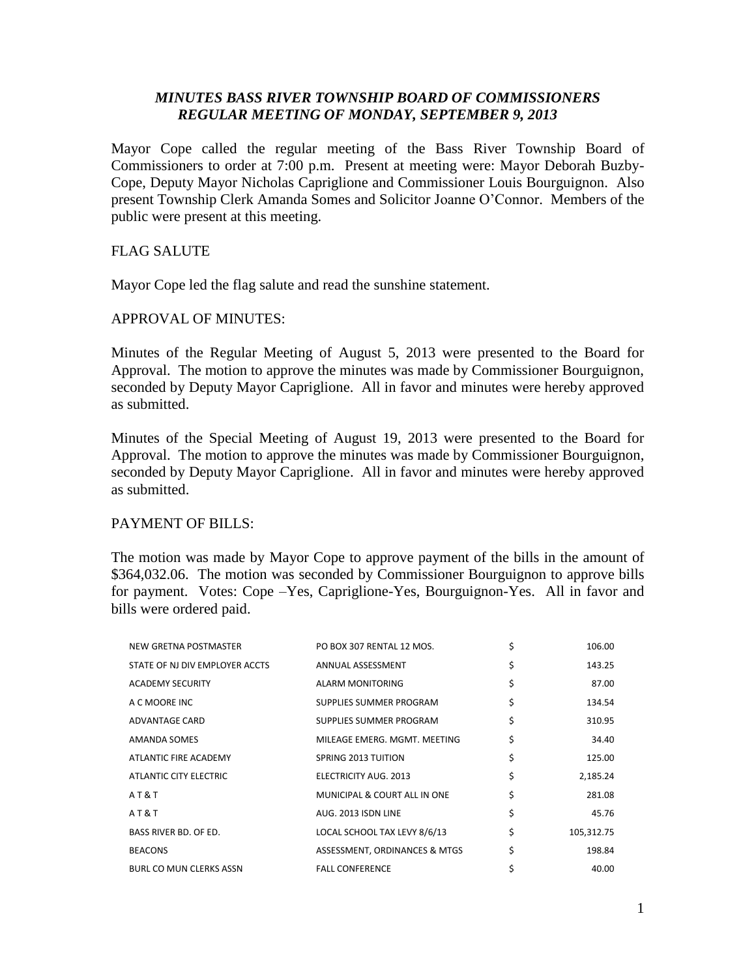# *MINUTES BASS RIVER TOWNSHIP BOARD OF COMMISSIONERS REGULAR MEETING OF MONDAY, SEPTEMBER 9, 2013*

Mayor Cope called the regular meeting of the Bass River Township Board of Commissioners to order at 7:00 p.m. Present at meeting were: Mayor Deborah Buzby-Cope, Deputy Mayor Nicholas Capriglione and Commissioner Louis Bourguignon. Also present Township Clerk Amanda Somes and Solicitor Joanne O'Connor. Members of the public were present at this meeting.

# FLAG SALUTE

Mayor Cope led the flag salute and read the sunshine statement.

# APPROVAL OF MINUTES:

Minutes of the Regular Meeting of August 5, 2013 were presented to the Board for Approval. The motion to approve the minutes was made by Commissioner Bourguignon, seconded by Deputy Mayor Capriglione. All in favor and minutes were hereby approved as submitted.

Minutes of the Special Meeting of August 19, 2013 were presented to the Board for Approval. The motion to approve the minutes was made by Commissioner Bourguignon, seconded by Deputy Mayor Capriglione. All in favor and minutes were hereby approved as submitted.

# PAYMENT OF BILLS:

The motion was made by Mayor Cope to approve payment of the bills in the amount of \$364,032.06. The motion was seconded by Commissioner Bourguignon to approve bills for payment. Votes: Cope –Yes, Capriglione-Yes, Bourguignon-Yes. All in favor and bills were ordered paid.

| NEW GRETNA POSTMASTER          | PO BOX 307 RENTAL 12 MOS.     | \$<br>106.00     |
|--------------------------------|-------------------------------|------------------|
| STATE OF NJ DIV EMPLOYER ACCTS | ANNUAL ASSESSMENT             | \$<br>143.25     |
| <b>ACADEMY SECURITY</b>        | ALARM MONITORING              | \$<br>87.00      |
| A C MOORE INC                  | SUPPLIES SUMMER PROGRAM       | \$<br>134.54     |
| ADVANTAGE CARD                 | SUPPLIES SUMMER PROGRAM       | \$<br>310.95     |
| AMANDA SOMES                   | MILEAGE EMERG, MGMT, MEETING  | \$<br>34.40      |
| ATLANTIC FIRE ACADEMY          | SPRING 2013 TUITION           | \$<br>125.00     |
| ATLANTIC CITY ELECTRIC         | ELECTRICITY AUG. 2013         | \$<br>2,185.24   |
| AT&T                           | MUNICIPAL & COURT ALL IN ONE  | \$<br>281.08     |
| AT&T                           | AUG. 2013 ISDN LINE           | \$<br>45.76      |
| BASS RIVER BD. OF ED.          | LOCAL SCHOOL TAX LEVY 8/6/13  | \$<br>105,312.75 |
| <b>BEACONS</b>                 | ASSESSMENT, ORDINANCES & MTGS | \$<br>198.84     |
| <b>BURL CO MUN CLERKS ASSN</b> | <b>FALL CONFERENCE</b>        | \$<br>40.00      |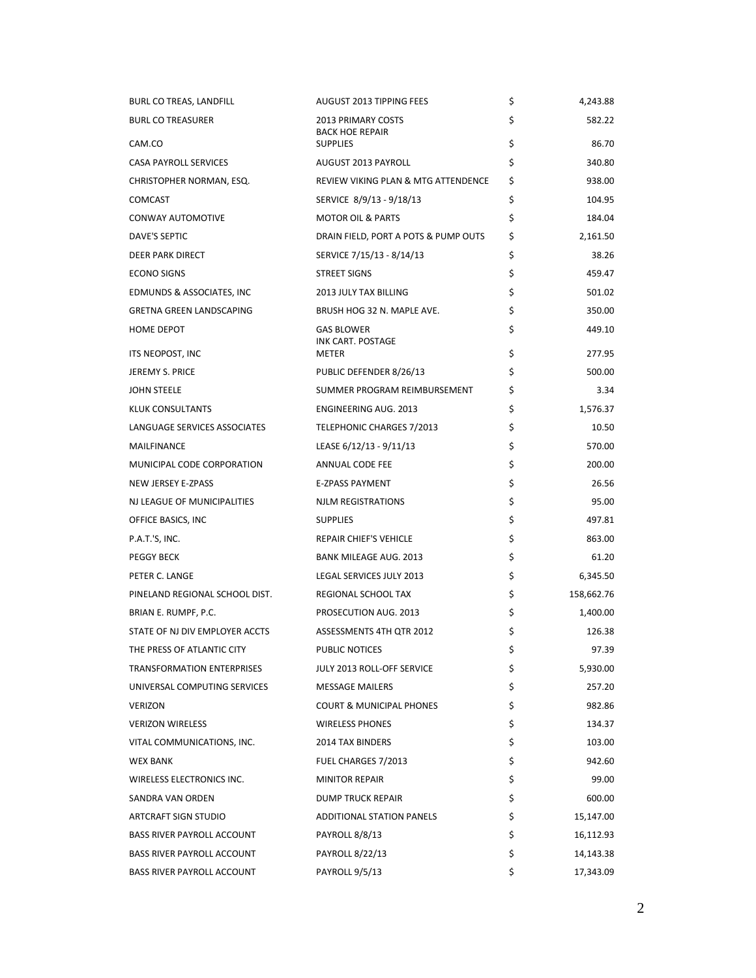| BURL CO TREAS, LANDFILL           | <b>AUGUST 2013 TIPPING FEES</b>               | \$<br>4,243.88   |
|-----------------------------------|-----------------------------------------------|------------------|
| <b>BURL CO TREASURER</b>          | 2013 PRIMARY COSTS<br><b>BACK HOE REPAIR</b>  | \$<br>582.22     |
| CAM.CO                            | <b>SUPPLIES</b>                               | \$<br>86.70      |
| <b>CASA PAYROLL SERVICES</b>      | AUGUST 2013 PAYROLL                           | \$<br>340.80     |
| CHRISTOPHER NORMAN, ESQ.          | REVIEW VIKING PLAN & MTG ATTENDENCE           | \$<br>938.00     |
| <b>COMCAST</b>                    | SERVICE 8/9/13 - 9/18/13                      | \$<br>104.95     |
| CONWAY AUTOMOTIVE                 | <b>MOTOR OIL &amp; PARTS</b>                  | \$<br>184.04     |
| <b>DAVE'S SEPTIC</b>              | DRAIN FIELD, PORT A POTS & PUMP OUTS          | \$<br>2,161.50   |
| <b>DEER PARK DIRECT</b>           | SERVICE 7/15/13 - 8/14/13                     | \$<br>38.26      |
| <b>ECONO SIGNS</b>                | <b>STREET SIGNS</b>                           | \$<br>459.47     |
| EDMUNDS & ASSOCIATES, INC         | 2013 JULY TAX BILLING                         | \$<br>501.02     |
| <b>GRETNA GREEN LANDSCAPING</b>   | BRUSH HOG 32 N. MAPLE AVE.                    | \$<br>350.00     |
| HOME DEPOT                        | <b>GAS BLOWER</b><br><b>INK CART. POSTAGE</b> | \$<br>449.10     |
| ITS NEOPOST, INC                  | METER                                         | \$<br>277.95     |
| <b>JEREMY S. PRICE</b>            | PUBLIC DEFENDER 8/26/13                       | \$<br>500.00     |
| <b>JOHN STEELE</b>                | SUMMER PROGRAM REIMBURSEMENT                  | \$<br>3.34       |
| KLUK CONSULTANTS                  | <b>ENGINEERING AUG. 2013</b>                  | \$<br>1,576.37   |
| LANGUAGE SERVICES ASSOCIATES      | TELEPHONIC CHARGES 7/2013                     | \$<br>10.50      |
| MAILFINANCE                       | LEASE 6/12/13 - 9/11/13                       | \$<br>570.00     |
| MUNICIPAL CODE CORPORATION        | ANNUAL CODE FEE                               | \$<br>200.00     |
| NEW JERSEY E-ZPASS                | <b>E-ZPASS PAYMENT</b>                        | \$<br>26.56      |
| NJ LEAGUE OF MUNICIPALITIES       | NJLM REGISTRATIONS                            | \$<br>95.00      |
| OFFICE BASICS, INC                | <b>SUPPLIES</b>                               | \$<br>497.81     |
| P.A.T.'S, INC.                    | REPAIR CHIEF'S VEHICLE                        | \$<br>863.00     |
| PEGGY BECK                        | <b>BANK MILEAGE AUG. 2013</b>                 | \$<br>61.20      |
| PETER C. LANGE                    | LEGAL SERVICES JULY 2013                      | \$<br>6,345.50   |
| PINELAND REGIONAL SCHOOL DIST.    | REGIONAL SCHOOL TAX                           | \$<br>158,662.76 |
| BRIAN E. RUMPF, P.C.              | PROSECUTION AUG. 2013                         | \$<br>1,400.00   |
| STATE OF NJ DIV EMPLOYER ACCTS    | ASSESSMENTS 4TH QTR 2012                      | \$<br>126.38     |
| THE PRESS OF ATLANTIC CITY        | PUBLIC NOTICES                                | \$<br>97.39      |
| TRANSFORMATION ENTERPRISES        | JULY 2013 ROLL-OFF SERVICE                    | \$<br>5,930.00   |
| UNIVERSAL COMPUTING SERVICES      | <b>MESSAGE MAILERS</b>                        | \$<br>257.20     |
| <b>VERIZON</b>                    | <b>COURT &amp; MUNICIPAL PHONES</b>           | \$<br>982.86     |
| <b>VERIZON WIRELESS</b>           | <b>WIRELESS PHONES</b>                        | \$<br>134.37     |
| VITAL COMMUNICATIONS, INC.        | 2014 TAX BINDERS                              | \$<br>103.00     |
| <b>WEX BANK</b>                   | FUEL CHARGES 7/2013                           | \$<br>942.60     |
| WIRELESS ELECTRONICS INC.         | <b>MINITOR REPAIR</b>                         | \$<br>99.00      |
| SANDRA VAN ORDEN                  | DUMP TRUCK REPAIR                             | \$<br>600.00     |
| ARTCRAFT SIGN STUDIO              | <b>ADDITIONAL STATION PANELS</b>              | \$<br>15,147.00  |
| <b>BASS RIVER PAYROLL ACCOUNT</b> | PAYROLL 8/8/13                                | \$<br>16,112.93  |
| BASS RIVER PAYROLL ACCOUNT        | PAYROLL 8/22/13                               | \$<br>14,143.38  |
| BASS RIVER PAYROLL ACCOUNT        | PAYROLL 9/5/13                                | \$<br>17,343.09  |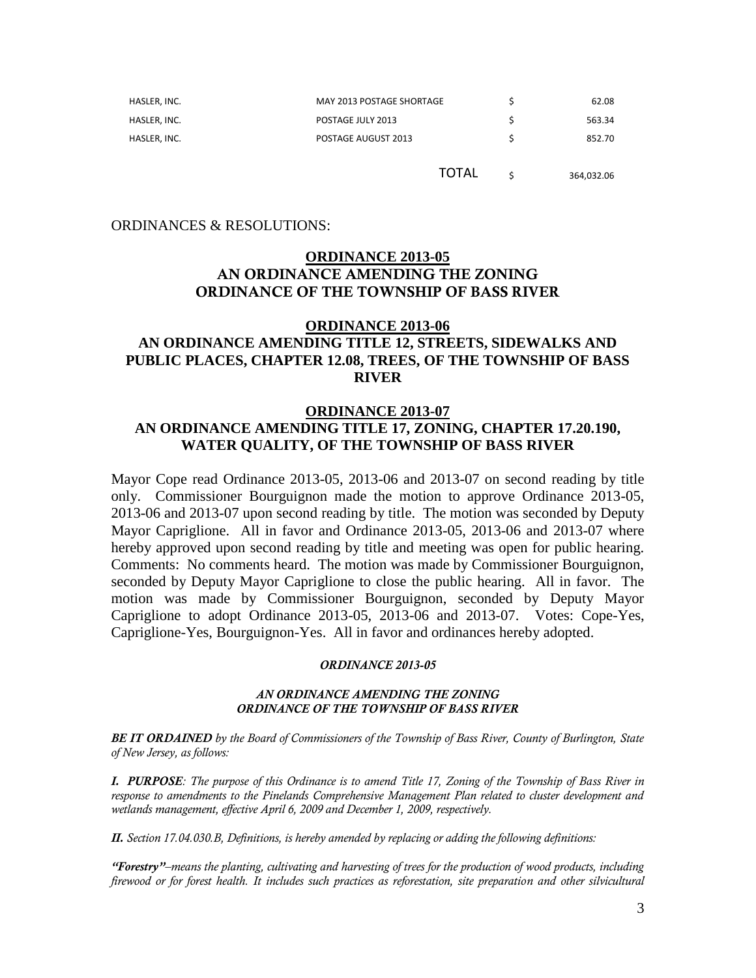| HASLER, INC. | MAY 2013 POSTAGE SHORTAGE | 62.08  |
|--------------|---------------------------|--------|
| HASLER, INC. | POSTAGE JULY 2013         | 563.34 |
| HASLER, INC. | POSTAGE AUGUST 2013       | 852.70 |

TOTAL  $\frac{1}{5}$  364,032.06

### ORDINANCES & RESOLUTIONS:

# **ORDINANCE 2013-05 AN ORDINANCE AMENDING THE ZONING ORDINANCE OF THE TOWNSHIP OF BASS RIVER**

# **ORDINANCE 2013-06 AN ORDINANCE AMENDING TITLE 12, STREETS, SIDEWALKS AND PUBLIC PLACES, CHAPTER 12.08, TREES, OF THE TOWNSHIP OF BASS RIVER**

## **ORDINANCE 2013-07**

# **AN ORDINANCE AMENDING TITLE 17, ZONING, CHAPTER 17.20.190, WATER QUALITY, OF THE TOWNSHIP OF BASS RIVER**

Mayor Cope read Ordinance 2013-05, 2013-06 and 2013-07 on second reading by title only. Commissioner Bourguignon made the motion to approve Ordinance 2013-05, 2013-06 and 2013-07 upon second reading by title. The motion was seconded by Deputy Mayor Capriglione. All in favor and Ordinance 2013-05, 2013-06 and 2013-07 where hereby approved upon second reading by title and meeting was open for public hearing. Comments: No comments heard. The motion was made by Commissioner Bourguignon, seconded by Deputy Mayor Capriglione to close the public hearing. All in favor. The motion was made by Commissioner Bourguignon, seconded by Deputy Mayor Capriglione to adopt Ordinance 2013-05, 2013-06 and 2013-07. Votes: Cope-Yes, Capriglione-Yes, Bourguignon-Yes. All in favor and ordinances hereby adopted.

#### *ORDINANCE 2013-05*

#### *AN ORDINANCE AMENDING THE ZONING ORDINANCE OF THE TOWNSHIP OF BASS RIVER*

*BE IT ORDAINED by the Board of Commissioners of the Township of Bass River, County of Burlington, State of New Jersey, as follows:*

*I. PURPOSE: The purpose of this Ordinance is to amend Title 17, Zoning of the Township of Bass River in response to amendments to the Pinelands Comprehensive Management Plan related to cluster development and wetlands management, effective April 6, 2009 and December 1, 2009, respectively.*

*II. Section 17.04.030.B, Definitions, is hereby amended by replacing or adding the following definitions:* 

*"Forestry"–means the planting, cultivating and harvesting of trees for the production of wood products, including firewood or for forest health. It includes such practices as reforestation, site preparation and other silvicultural*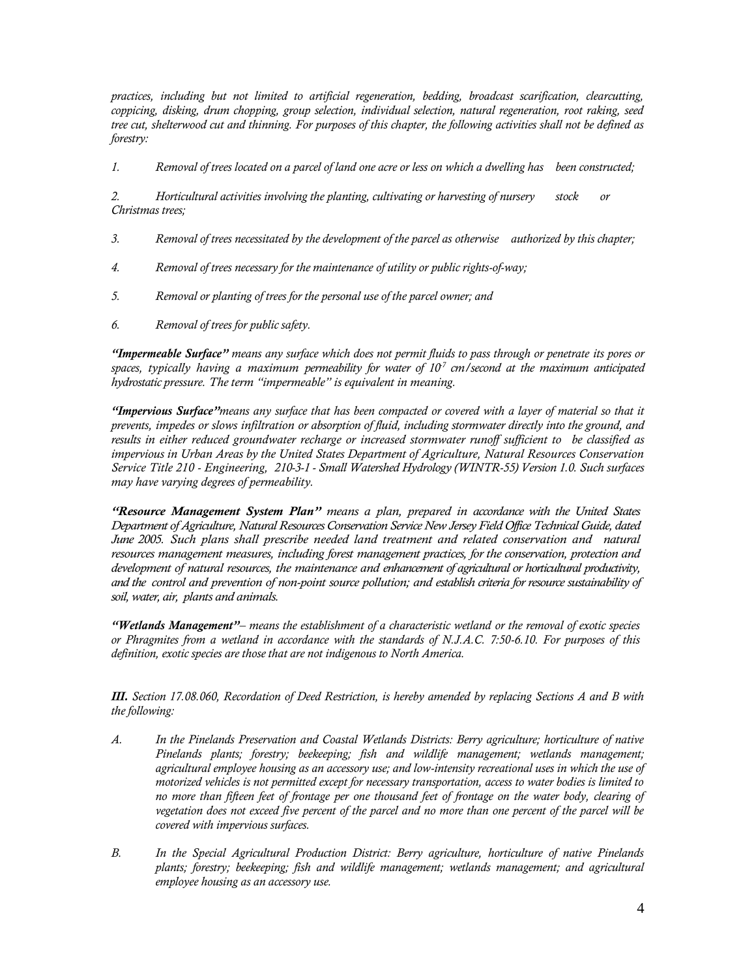*practices, including but not limited to artificial regeneration, bedding, broadcast scarification, clearcutting, coppicing, disking, drum chopping, group selection, individual selection, natural regeneration, root raking, seed tree cut, shelterwood cut and thinning. For purposes of this chapter, the following activities shall not be defined as forestry:*

*1. Removal of trees located on a parcel of land one acre or less on which a dwelling has been constructed;*

*2. Horticultural activities involving the planting, cultivating or harvesting of nursery stock or Christmas trees;*

- *3. Removal of trees necessitated by the development of the parcel as otherwise authorized by this chapter;*
- *4. Removal of trees necessary for the maintenance of utility or public rights-of-way;*
- *5. Removal or planting of trees for the personal use of the parcel owner; and*
- *6. Removal of trees for public safety.*

*"Impermeable Surface" means any surface which does not permit fluids to pass through or penetrate its pores or spaces, typically having a maximum permeability for water of 10-7 cm/second at the maximum anticipated hydrostatic pressure. The term "impermeable" is equivalent in meaning.*

*"Impervious Surface"means any surface that has been compacted or covered with a layer of material so that it prevents, impedes or slows infiltration or absorption of fluid, including stormwater directly into the ground, and results in either reduced groundwater recharge or increased stormwater runoff sufficient to be classified as impervious in Urban Areas by the United States Department of Agriculture, Natural Resources Conservation Service Title 210 - Engineering, 210-3-1 - Small Watershed Hydrology (WINTR-55) Version 1.0. Such surfaces may have varying degrees of permeability.*

*"Resource Management System Plan" means a plan, prepared in accordance with the United States Department of Agriculture, Natural Resources Conservation Service New Jersey Field Office Technical Guide, dated June 2005. Such plans shall prescribe needed land treatment and related conservation and natural resources management measures, including forest management practices, for the conservation, protection and development of natural resources, the maintenance and enhancement of agricultural or horticultural productivity, and the control and prevention of non-point source pollution; and establish criteria for resource sustainability of soil, water, air, plants and animals.* 

*"Wetlands Management"– means the establishment of a characteristic wetland or the removal of exotic species or Phragmites from a wetland in accordance with the standards of N.J.A.C. 7:50-6.10. For purposes of this definition, exotic species are those that are not indigenous to North America.*

*III. Section 17.08.060, Recordation of Deed Restriction, is hereby amended by replacing Sections A and B with the following:*

- *A. In the Pinelands Preservation and Coastal Wetlands Districts: Berry agriculture; horticulture of native Pinelands plants; forestry; beekeeping; fish and wildlife management; wetlands management; agricultural employee housing as an accessory use; and low-intensity recreational uses in which the use of motorized vehicles is not permitted except for necessary transportation, access to water bodies is limited to no more than fifteen feet of frontage per one thousand feet of frontage on the water body, clearing of vegetation does not exceed five percent of the parcel and no more than one percent of the parcel will be covered with impervious surfaces.*
- *B. In the Special Agricultural Production District: Berry agriculture, horticulture of native Pinelands plants; forestry; beekeeping; fish and wildlife management; wetlands management; and agricultural employee housing as an accessory use.*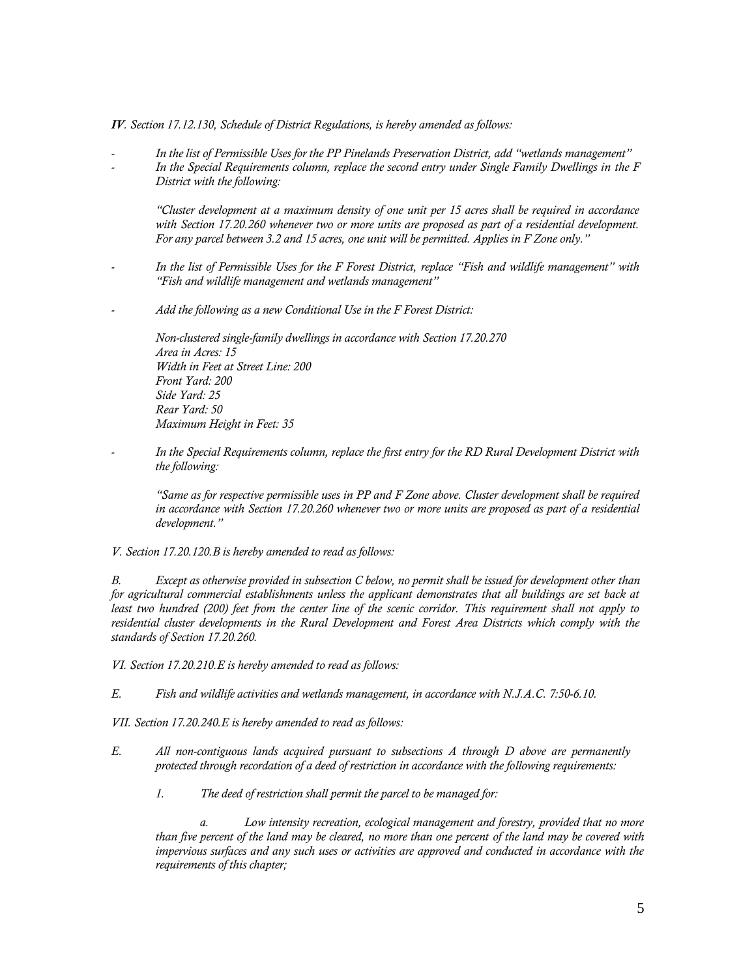*IV. Section 17.12.130, Schedule of District Regulations, is hereby amended as follows:*

*- In the list of Permissible Uses for the PP Pinelands Preservation District, add "wetlands management" - In the Special Requirements column, replace the second entry under Single Family Dwellings in the F District with the following:*

*"Cluster development at a maximum density of one unit per 15 acres shall be required in accordance with Section 17.20.260 whenever two or more units are proposed as part of a residential development. For any parcel between 3.2 and 15 acres, one unit will be permitted. Applies in F Zone only."*

- *- In the list of Permissible Uses for the F Forest District, replace "Fish and wildlife management" with "Fish and wildlife management and wetlands management"*
- *- Add the following as a new Conditional Use in the F Forest District:*

*Non-clustered single-family dwellings in accordance with Section 17.20.270 Area in Acres: 15 Width in Feet at Street Line: 200 Front Yard: 200 Side Yard: 25 Rear Yard: 50 Maximum Height in Feet: 35*

*- In the Special Requirements column, replace the first entry for the RD Rural Development District with the following:*

*"Same as for respective permissible uses in PP and F Zone above. Cluster development shall be required in accordance with Section 17.20.260 whenever two or more units are proposed as part of a residential development."*

*V. Section 17.20.120.B is hereby amended to read as follows:* 

*B. Except as otherwise provided in subsection C below, no permit shall be issued for development other than for agricultural commercial establishments unless the applicant demonstrates that all buildings are set back at least two hundred (200) feet from the center line of the scenic corridor. This requirement shall not apply to residential cluster developments in the Rural Development and Forest Area Districts which comply with the standards of Section 17.20.260.*

*VI. Section 17.20.210.E is hereby amended to read as follows:* 

*E. Fish and wildlife activities and wetlands management, in accordance with N.J.A.C. 7:50-6.10.*

*VII. Section 17.20.240.E is hereby amended to read as follows:* 

- *E. All non-contiguous lands acquired pursuant to subsections A through D above are permanently protected through recordation of a deed of restriction in accordance with the following requirements:* 
	- *1. The deed of restriction shall permit the parcel to be managed for:*

*a. Low intensity recreation, ecological management and forestry, provided that no more than five percent of the land may be cleared, no more than one percent of the land may be covered with impervious surfaces and any such uses or activities are approved and conducted in accordance with the requirements of this chapter;*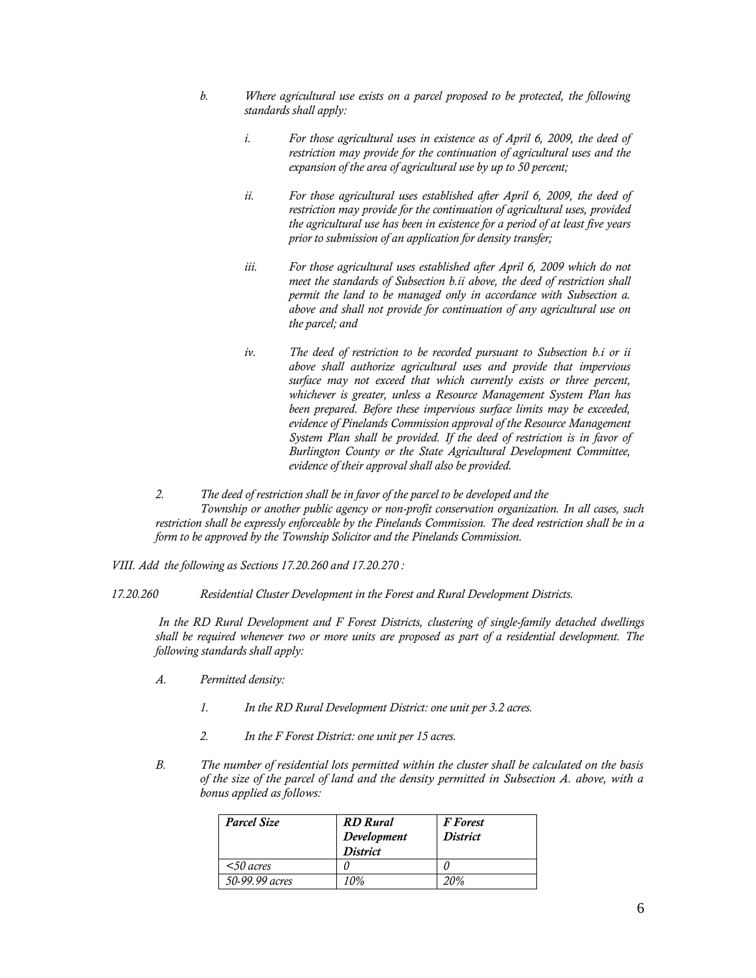- *b. Where agricultural use exists on a parcel proposed to be protected, the following standards shall apply:*
	- *i. For those agricultural uses in existence as of April 6, 2009, the deed of restriction may provide for the continuation of agricultural uses and the expansion of the area of agricultural use by up to 50 percent;*
	- *ii. For those agricultural uses established after April 6, 2009, the deed of restriction may provide for the continuation of agricultural uses, provided the agricultural use has been in existence for a period of at least five years prior to submission of an application for density transfer;*
	- *iii. For those agricultural uses established after April 6, 2009 which do not meet the standards of Subsection b.ii above, the deed of restriction shall permit the land to be managed only in accordance with Subsection a. above and shall not provide for continuation of any agricultural use on the parcel; and*
	- *iv. The deed of restriction to be recorded pursuant to Subsection b.i or ii above shall authorize agricultural uses and provide that impervious surface may not exceed that which currently exists or three percent, whichever is greater, unless a Resource Management System Plan has been prepared. Before these impervious surface limits may be exceeded, evidence of Pinelands Commission approval of the Resource Management System Plan shall be provided. If the deed of restriction is in favor of Burlington County or the State Agricultural Development Committee, evidence of their approval shall also be provided.*

*2. The deed of restriction shall be in favor of the parcel to be developed and the Township or another public agency or non-profit conservation organization. In all cases, such restriction shall be expressly enforceable by the Pinelands Commission. The deed restriction shall be in a form to be approved by the Township Solicitor and the Pinelands Commission.*

*VIII. Add the following as Sections 17.20.260 and 17.20.270 :* 

*17.20.260 Residential Cluster Development in the Forest and Rural Development Districts.*

*In the RD Rural Development and F Forest Districts, clustering of single-family detached dwellings shall be required whenever two or more units are proposed as part of a residential development. The following standards shall apply:* 

- *A. Permitted density:* 
	- *1. In the RD Rural Development District: one unit per 3.2 acres.*
	- *2. In the F Forest District: one unit per 15 acres.*
- *B. The number of residential lots permitted within the cluster shall be calculated on the basis of the size of the parcel of land and the density permitted in Subsection A. above, with a bonus applied as follows:*

| <b>Parcel Size</b> | <b>RD</b> Rural<br>Development<br><b>District</b> | <b>F</b> Forest<br><b>District</b> |
|--------------------|---------------------------------------------------|------------------------------------|
| $<$ 50 acres       |                                                   |                                    |
| 50-99.99 acres     | 10%                                               | 20%                                |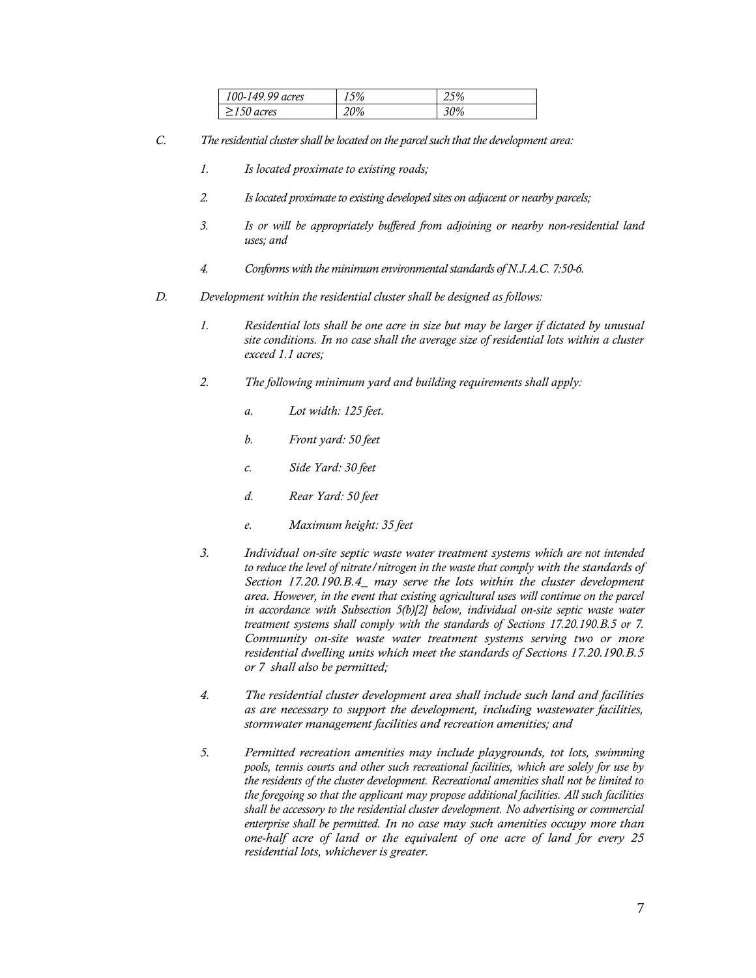| 100-149.99 acres | 15% | 25% |
|------------------|-----|-----|
| $\geq$ 150 acres | 20% | 30% |

- *C. The residential cluster shall be located on the parcel such that the development area:*
	- *1. Is located proximate to existing roads;*
	- *2. Is located proximate to existing developed sites on adjacent or nearby parcels;*
	- *3. Is or will be appropriately buffered from adjoining or nearby non-residential land uses; and*
	- *4. Conforms with the minimum environmental standards of N.J.A.C. 7:50-6.*
- *D. Development within the residential cluster shall be designed as follows:* 
	- *1. Residential lots shall be one acre in size but may be larger if dictated by unusual site conditions. In no case shall the average size of residential lots within a cluster exceed 1.1 acres;*
	- *2. The following minimum yard and building requirements shall apply:* 
		- *a. Lot width: 125 feet.*
		- *b. Front yard: 50 feet*
		- *c. Side Yard: 30 feet*
		- *d. Rear Yard: 50 feet*
		- *e. Maximum height: 35 feet*
	- *3. Individual on-site septic waste water treatment systems which are not intended to reduce the level of nitrate/nitrogen in the waste that comply with the standards of Section 17.20.190.B.4\_ may serve the lots within the cluster development area. However, in the event that existing agricultural uses will continue on the parcel in accordance with Subsection 5(b)[2] below, individual on-site septic waste water treatment systems shall comply with the standards of Sections 17.20.190.B.5 or 7. Community on-site waste water treatment systems serving two or more residential dwelling units which meet the standards of Sections 17.20.190.B.5 or 7 shall also be permitted;*
	- *4. The residential cluster development area shall include such land and facilities as are necessary to support the development, including wastewater facilities, stormwater management facilities and recreation amenities; and*
	- *5. Permitted recreation amenities may include playgrounds, tot lots, swimming pools, tennis courts and other such recreational facilities, which are solely for use by the residents of the cluster development. Recreational amenities shall not be limited to the foregoing so that the applicant may propose additional facilities. All such facilities shall be accessory to the residential cluster development. No advertising or commercial enterprise shall be permitted. In no case may such amenities occupy more than one-half acre of land or the equivalent of one acre of land for every 25 residential lots, whichever is greater.*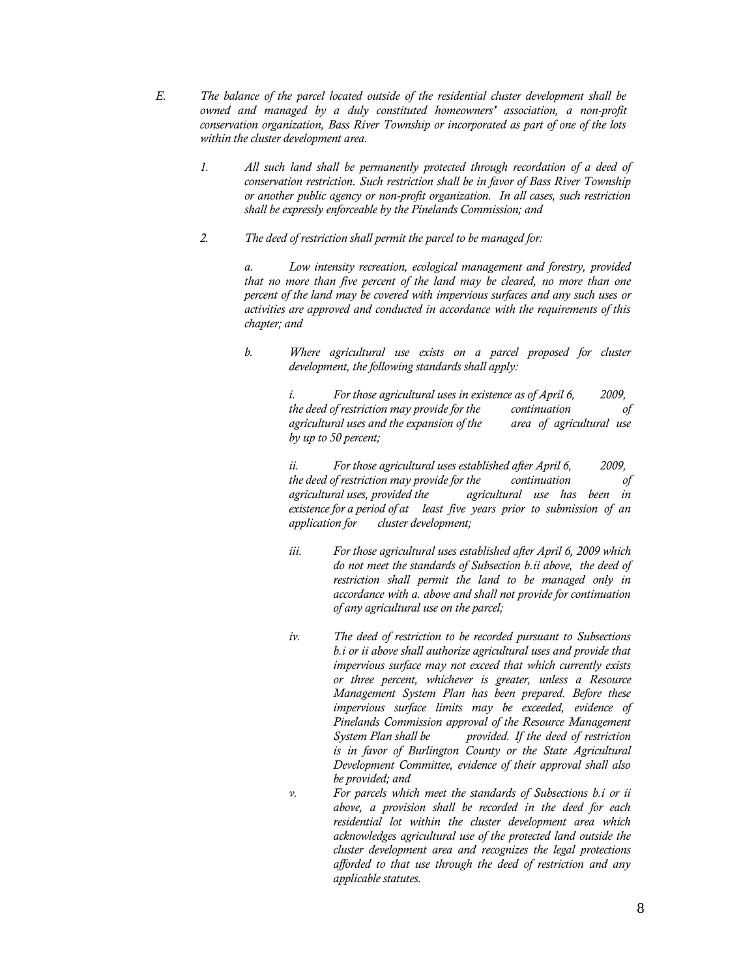- *E. The balance of the parcel located outside of the residential cluster development shall be owned and managed by a duly constituted homeowners' association, a non-profit conservation organization, Bass River Township or incorporated as part of one of the lots within the cluster development area.*
	- *1. All such land shall be permanently protected through recordation of a deed of conservation restriction. Such restriction shall be in favor of Bass River Township or another public agency or non-profit organization. In all cases, such restriction shall be expressly enforceable by the Pinelands Commission; and*
	- *2. The deed of restriction shall permit the parcel to be managed for:*

*a. Low intensity recreation, ecological management and forestry, provided that no more than five percent of the land may be cleared, no more than one percent of the land may be covered with impervious surfaces and any such uses or activities are approved and conducted in accordance with the requirements of this chapter; and*

*b. Where agricultural use exists on a parcel proposed for cluster development, the following standards shall apply:*

> *i. For those agricultural uses in existence as of April 6, 2009, the deed of restriction may provide for the continuation of agricultural uses and the expansion of the area of agricultural use by up to 50 percent;*

> *ii. For those agricultural uses established after April 6, 2009, the deed of restriction may provide for the continuation of agricultural uses, provided the agricultural use has been in existence for a period of at least five years prior to submission of an application for cluster development;*

- *iii. For those agricultural uses established after April 6, 2009 which do not meet the standards of Subsection b.ii above, the deed of restriction shall permit the land to be managed only in accordance with a. above and shall not provide for continuation of any agricultural use on the parcel;*
- *iv. The deed of restriction to be recorded pursuant to Subsections b.i or ii above shall authorize agricultural uses and provide that impervious surface may not exceed that which currently exists or three percent, whichever is greater, unless a Resource Management System Plan has been prepared. Before these impervious surface limits may be exceeded, evidence of Pinelands Commission approval of the Resource Management System Plan shall be provided. If the deed of restriction is in favor of Burlington County or the State Agricultural Development Committee, evidence of their approval shall also be provided; and*
- *v. For parcels which meet the standards of Subsections b.i or ii above, a provision shall be recorded in the deed for each residential lot within the cluster development area which acknowledges agricultural use of the protected land outside the cluster development area and recognizes the legal protections afforded to that use through the deed of restriction and any applicable statutes.*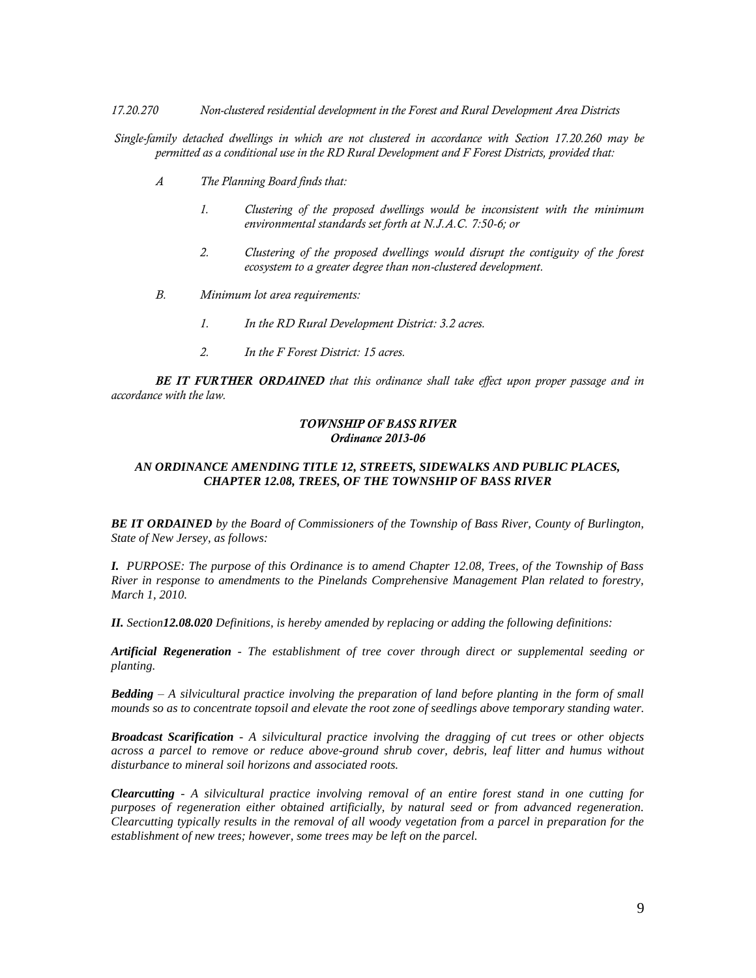*17.20.270 Non-clustered residential development in the Forest and Rural Development Area Districts*

*Single-family detached dwellings in which are not clustered in accordance with Section 17.20.260 may be permitted as a conditional use in the RD Rural Development and F Forest Districts, provided that:* 

- *A The Planning Board finds that:*
	- *1. Clustering of the proposed dwellings would be inconsistent with the minimum environmental standards set forth at N.J.A.C. 7:50-6; or*
	- *2. Clustering of the proposed dwellings would disrupt the contiguity of the forest ecosystem to a greater degree than non-clustered development.*
- *B. Minimum lot area requirements:* 
	- *1. In the RD Rural Development District: 3.2 acres.*
	- *2. In the F Forest District: 15 acres.*

*BE IT FURTHER ORDAINED that this ordinance shall take effect upon proper passage and in accordance with the law.*

#### *TOWNSHIP OF BASS RIVER Ordinance 2013-06*

### *AN ORDINANCE AMENDING TITLE 12, STREETS, SIDEWALKS AND PUBLIC PLACES, CHAPTER 12.08, TREES, OF THE TOWNSHIP OF BASS RIVER*

*BE IT ORDAINED by the Board of Commissioners of the Township of Bass River, County of Burlington, State of New Jersey, as follows:*

*I. PURPOSE: The purpose of this Ordinance is to amend Chapter 12.08, Trees, of the Township of Bass River in response to amendments to the Pinelands Comprehensive Management Plan related to forestry, March 1, 2010.*

*II. Section12.08.020 Definitions, is hereby amended by replacing or adding the following definitions:* 

*Artificial Regeneration - The establishment of tree cover through direct or supplemental seeding or planting.*

*Bedding – A silvicultural practice involving the preparation of land before planting in the form of small mounds so as to concentrate topsoil and elevate the root zone of seedlings above temporary standing water.*

*Broadcast Scarification - A silvicultural practice involving the dragging of cut trees or other objects across a parcel to remove or reduce above-ground shrub cover, debris, leaf litter and humus without disturbance to mineral soil horizons and associated roots.*

*Clearcutting - A silvicultural practice involving removal of an entire forest stand in one cutting for purposes of regeneration either obtained artificially, by natural seed or from advanced regeneration. Clearcutting typically results in the removal of all woody vegetation from a parcel in preparation for the establishment of new trees; however, some trees may be left on the parcel.*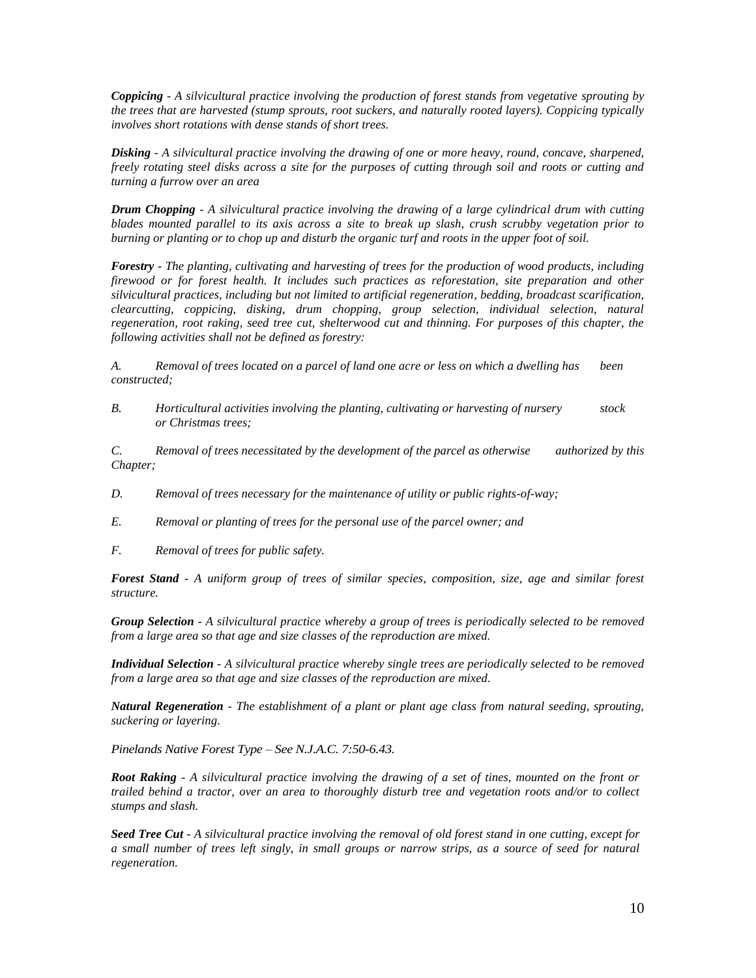*Coppicing - A silvicultural practice involving the production of forest stands from vegetative sprouting by the trees that are harvested (stump sprouts, root suckers, and naturally rooted layers). Coppicing typically involves short rotations with dense stands of short trees.* 

*Disking - A silvicultural practice involving the drawing of one or more heavy, round, concave, sharpened, freely rotating steel disks across a site for the purposes of cutting through soil and roots or cutting and turning a furrow over an area*

*Drum Chopping - A silvicultural practice involving the drawing of a large cylindrical drum with cutting blades mounted parallel to its axis across a site to break up slash, crush scrubby vegetation prior to burning or planting or to chop up and disturb the organic turf and roots in the upper foot of soil.*

*Forestry - The planting, cultivating and harvesting of trees for the production of wood products, including firewood or for forest health. It includes such practices as reforestation, site preparation and other silvicultural practices, including but not limited to artificial regeneration, bedding, broadcast scarification, clearcutting, coppicing, disking, drum chopping, group selection, individual selection, natural regeneration, root raking, seed tree cut, shelterwood cut and thinning. For purposes of this chapter, the following activities shall not be defined as forestry:*

*A. Removal of trees located on a parcel of land one acre or less on which a dwelling has been constructed;*

*B. Horticultural activities involving the planting, cultivating or harvesting of nursery stock or Christmas trees;*

*C. Removal of trees necessitated by the development of the parcel as otherwise authorized by this Chapter;*

- *D. Removal of trees necessary for the maintenance of utility or public rights-of-way;*
- *E. Removal or planting of trees for the personal use of the parcel owner; and*
- *F. Removal of trees for public safety.*

*Forest Stand - A uniform group of trees of similar species, composition, size, age and similar forest structure.*

*Group Selection - A silvicultural practice whereby a group of trees is periodically selected to be removed from a large area so that age and size classes of the reproduction are mixed.*

*Individual Selection - A silvicultural practice whereby single trees are periodically selected to be removed from a large area so that age and size classes of the reproduction are mixed.*

*Natural Regeneration - The establishment of a plant or plant age class from natural seeding, sprouting, suckering or layering.*

*Pinelands Native Forest Type – See N.J.A.C. 7:50-6.43.*

*Root Raking - A silvicultural practice involving the drawing of a set of tines, mounted on the front or trailed behind a tractor, over an area to thoroughly disturb tree and vegetation roots and/or to collect stumps and slash.*

*Seed Tree Cut - A silvicultural practice involving the removal of old forest stand in one cutting, except for a small number of trees left singly, in small groups or narrow strips, as a source of seed for natural regeneration.*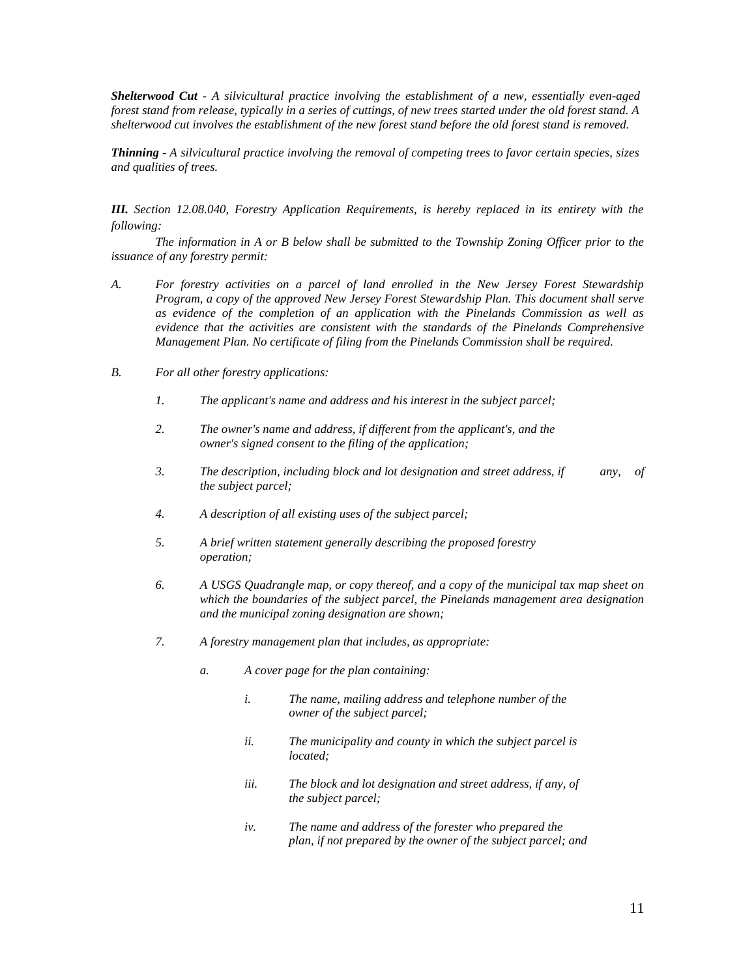*Shelterwood Cut - A silvicultural practice involving the establishment of a new, essentially even-aged forest stand from release, typically in a series of cuttings, of new trees started under the old forest stand. A shelterwood cut involves the establishment of the new forest stand before the old forest stand is removed.*

*Thinning - A silvicultural practice involving the removal of competing trees to favor certain species, sizes and qualities of trees.*

*III. Section 12.08.040, Forestry Application Requirements, is hereby replaced in its entirety with the following:*

*The information in A or B below shall be submitted to the Township Zoning Officer prior to the issuance of any forestry permit:*

- *A. For forestry activities on a parcel of land enrolled in the New Jersey Forest Stewardship Program, a copy of the approved New Jersey Forest Stewardship Plan. This document shall serve as evidence of the completion of an application with the Pinelands Commission as well as evidence that the activities are consistent with the standards of the Pinelands Comprehensive Management Plan. No certificate of filing from the Pinelands Commission shall be required.*
- *B. For all other forestry applications:* 
	- *1. The applicant's name and address and his interest in the subject parcel;*
	- *2. The owner's name and address, if different from the applicant's, and the owner's signed consent to the filing of the application;*
	- *3. The description, including block and lot designation and street address, if any, of the subject parcel;*
	- *4. A description of all existing uses of the subject parcel;*
	- *5. A brief written statement generally describing the proposed forestry operation;*
	- *6. A USGS Quadrangle map, or copy thereof, and a copy of the municipal tax map sheet on which the boundaries of the subject parcel, the Pinelands management area designation and the municipal zoning designation are shown;*
	- *7. A forestry management plan that includes, as appropriate:*
		- *a. A cover page for the plan containing:*
			- *i. The name, mailing address and telephone number of the owner of the subject parcel;*
			- *ii. The municipality and county in which the subject parcel is located;*
			- *iii. The block and lot designation and street address, if any, of the subject parcel;*
			- *iv. The name and address of the forester who prepared the plan, if not prepared by the owner of the subject parcel; and*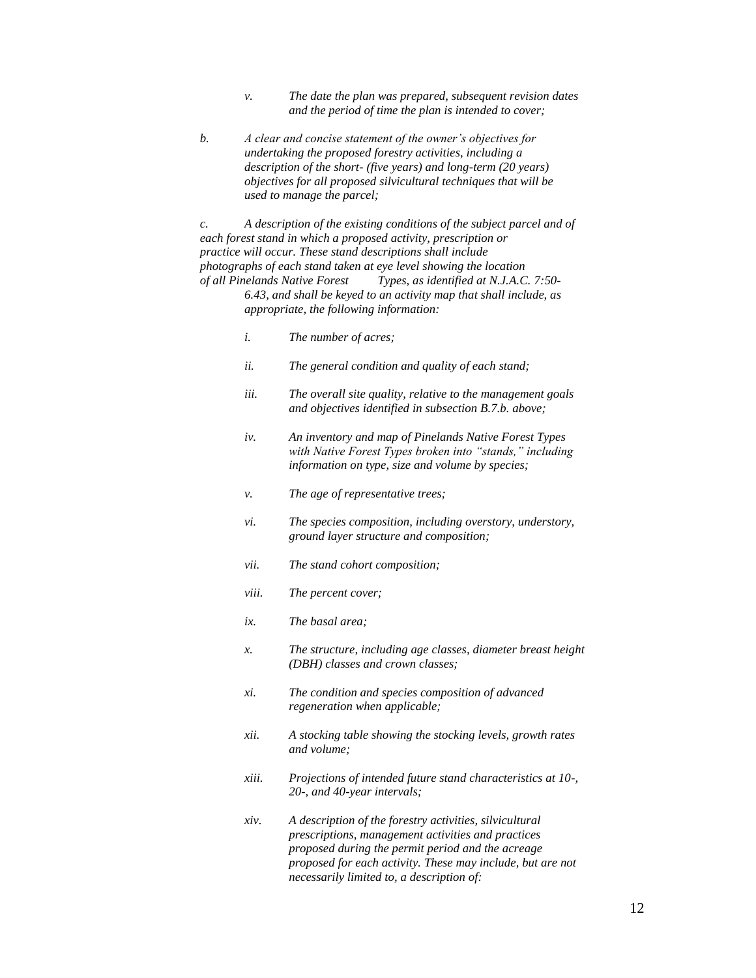- *v. The date the plan was prepared, subsequent revision dates and the period of time the plan is intended to cover;*
- *b. A clear and concise statement of the owner's objectives for undertaking the proposed forestry activities, including a description of the short- (five years) and long-term (20 years) objectives for all proposed silvicultural techniques that will be used to manage the parcel;*

*c. A description of the existing conditions of the subject parcel and of each forest stand in which a proposed activity, prescription or practice will occur. These stand descriptions shall include photographs of each stand taken at eye level showing the location of all Pinelands Native Forest Types, as identified at N.J.A.C. 7:50-*

*6.43, and shall be keyed to an activity map that shall include, as appropriate, the following information:*

- *i. The number of acres;*
- *ii. The general condition and quality of each stand;*
- *iii. The overall site quality, relative to the management goals and objectives identified in subsection B.7.b. above;*
- *iv. An inventory and map of Pinelands Native Forest Types with Native Forest Types broken into "stands," including information on type, size and volume by species;*
- *v. The age of representative trees;*
- *vi. The species composition, including overstory, understory, ground layer structure and composition;*
- *vii. The stand cohort composition;*
- *viii. The percent cover;*
- *ix. The basal area;*
- *x. The structure, including age classes, diameter breast height (DBH) classes and crown classes;*
- *xi. The condition and species composition of advanced regeneration when applicable;*
- *xii. A stocking table showing the stocking levels, growth rates and volume;*
- *xiii. Projections of intended future stand characteristics at 10-, 20-, and 40-year intervals;*
- *xiv. A description of the forestry activities, silvicultural prescriptions, management activities and practices proposed during the permit period and the acreage proposed for each activity. These may include, but are not necessarily limited to, a description of:*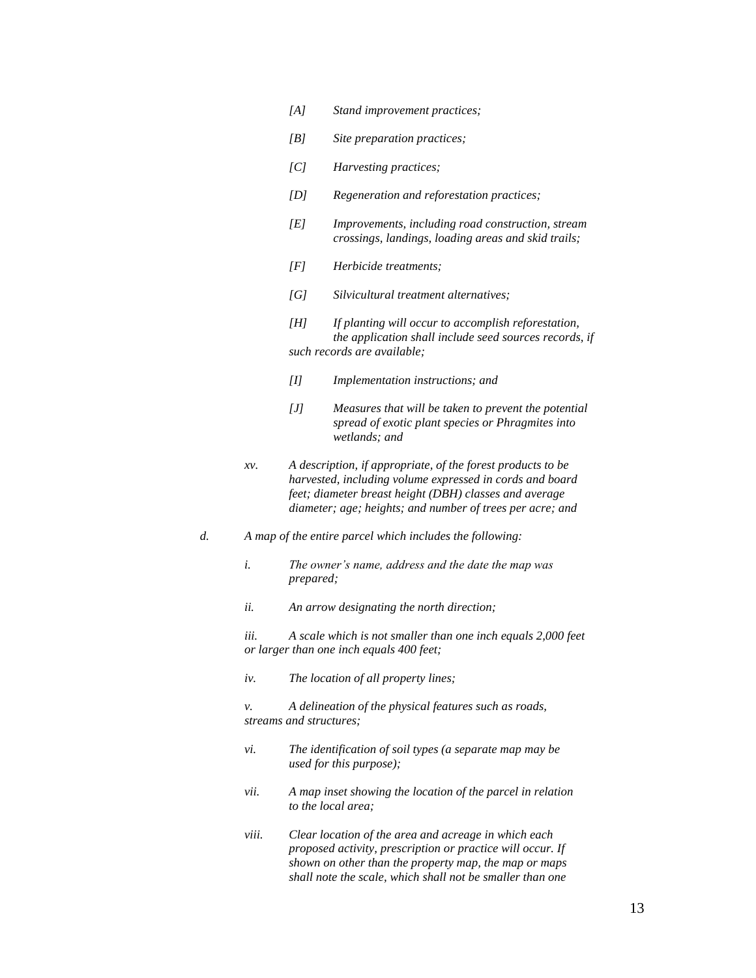- *[A] Stand improvement practices;*
- *[B] Site preparation practices;*
- *[C] Harvesting practices;*
- *[D] Regeneration and reforestation practices;*
- *[E] Improvements, including road construction, stream crossings, landings, loading areas and skid trails;*
- *[F] Herbicide treatments;*
- *[G] Silvicultural treatment alternatives;*
- *[H] If planting will occur to accomplish reforestation, the application shall include seed sources records, if such records are available;*
- *[I] Implementation instructions; and*
- *[J] Measures that will be taken to prevent the potential spread of exotic plant species or Phragmites into wetlands; and*
- *xv. A description, if appropriate, of the forest products to be harvested, including volume expressed in cords and board feet; diameter breast height (DBH) classes and average diameter; age; heights; and number of trees per acre; and*
- *d. A map of the entire parcel which includes the following:*
	- *i. The owner's name, address and the date the map was prepared;*
	- *ii. An arrow designating the north direction;*

*iii. A scale which is not smaller than one inch equals 2,000 feet or larger than one inch equals 400 feet;*

*iv. The location of all property lines;*

*v. A delineation of the physical features such as roads, streams and structures;*

- *vi. The identification of soil types (a separate map may be used for this purpose);*
- *vii. A map inset showing the location of the parcel in relation to the local area;*
- *viii. Clear location of the area and acreage in which each proposed activity, prescription or practice will occur. If shown on other than the property map, the map or maps shall note the scale, which shall not be smaller than one*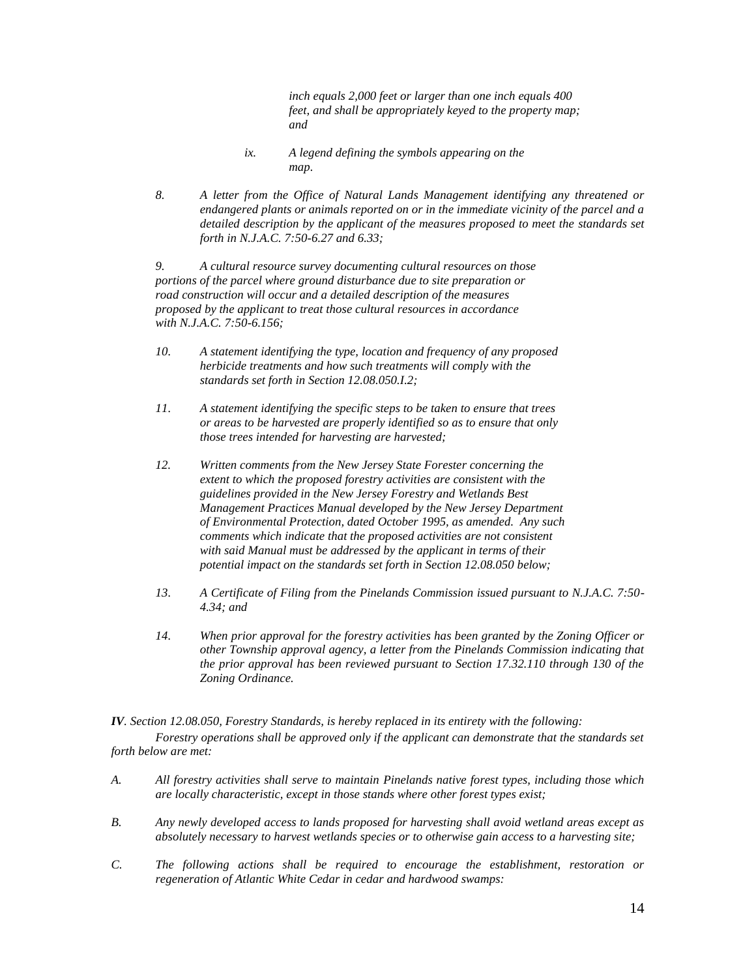*inch equals 2,000 feet or larger than one inch equals 400 feet, and shall be appropriately keyed to the property map; and*

- *ix. A legend defining the symbols appearing on the map.*
- *8. A letter from the Office of Natural Lands Management identifying any threatened or endangered plants or animals reported on or in the immediate vicinity of the parcel and a detailed description by the applicant of the measures proposed to meet the standards set forth in N.J.A.C. 7:50-6.27 and 6.33;*

*9. A cultural resource survey documenting cultural resources on those portions of the parcel where ground disturbance due to site preparation or road construction will occur and a detailed description of the measures proposed by the applicant to treat those cultural resources in accordance with N.J.A.C. 7:50-6.156;*

- *10. A statement identifying the type, location and frequency of any proposed herbicide treatments and how such treatments will comply with the standards set forth in Section 12.08.050.I.2;*
- *11. A statement identifying the specific steps to be taken to ensure that trees or areas to be harvested are properly identified so as to ensure that only those trees intended for harvesting are harvested;*
- *12. Written comments from the New Jersey State Forester concerning the extent to which the proposed forestry activities are consistent with the guidelines provided in the New Jersey Forestry and Wetlands Best Management Practices Manual developed by the New Jersey Department of Environmental Protection, dated October 1995, as amended. Any such comments which indicate that the proposed activities are not consistent with said Manual must be addressed by the applicant in terms of their potential impact on the standards set forth in Section 12.08.050 below;*
- *13. A Certificate of Filing from the Pinelands Commission issued pursuant to N.J.A.C. 7:50- 4.34; and*
- *14. When prior approval for the forestry activities has been granted by the Zoning Officer or other Township approval agency, a letter from the Pinelands Commission indicating that the prior approval has been reviewed pursuant to Section 17.32.110 through 130 of the Zoning Ordinance.*

*IV. Section 12.08.050, Forestry Standards, is hereby replaced in its entirety with the following: Forestry operations shall be approved only if the applicant can demonstrate that the standards set forth below are met:* 

- *A. All forestry activities shall serve to maintain Pinelands native forest types, including those which are locally characteristic, except in those stands where other forest types exist;*
- *B. Any newly developed access to lands proposed for harvesting shall avoid wetland areas except as absolutely necessary to harvest wetlands species or to otherwise gain access to a harvesting site;*
- *C. The following actions shall be required to encourage the establishment, restoration or regeneration of Atlantic White Cedar in cedar and hardwood swamps:*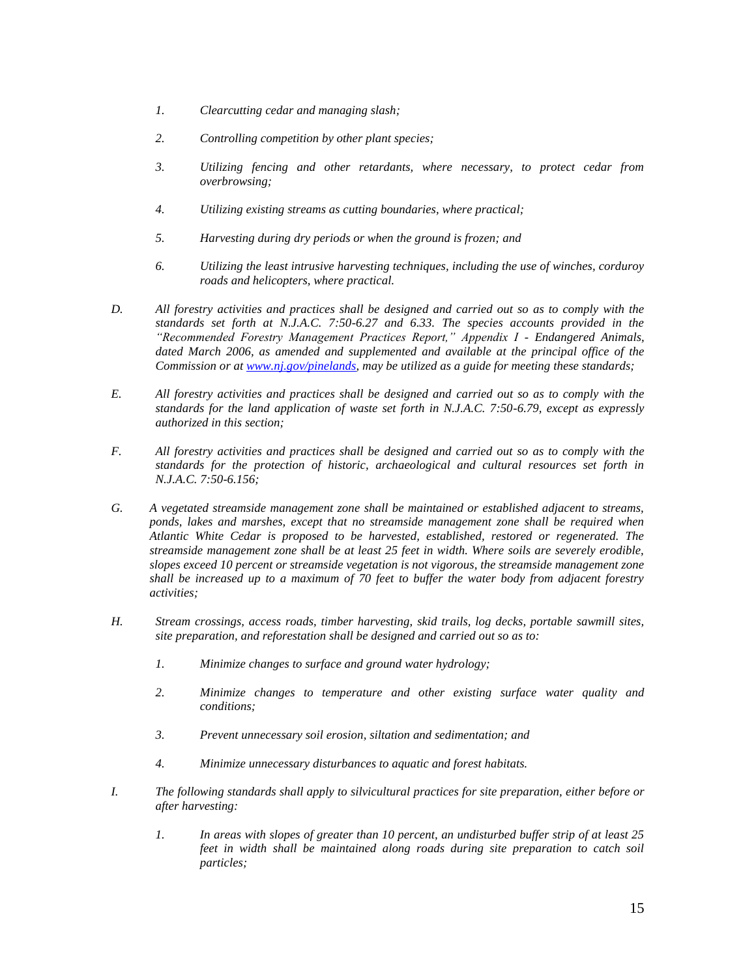- *1. Clearcutting cedar and managing slash;*
- *2. Controlling competition by other plant species;*
- *3. Utilizing fencing and other retardants, where necessary, to protect cedar from overbrowsing;*
- *4. Utilizing existing streams as cutting boundaries, where practical;*
- *5. Harvesting during dry periods or when the ground is frozen; and*
- *6. Utilizing the least intrusive harvesting techniques, including the use of winches, corduroy roads and helicopters, where practical.*
- *D. All forestry activities and practices shall be designed and carried out so as to comply with the standards set forth at N.J.A.C. 7:50-6.27 and 6.33. The species accounts provided in the "Recommended Forestry Management Practices Report," Appendix I - Endangered Animals,*  dated March 2006, as amended and supplemented and available at the principal office of the *Commission or a[t www.nj.gov/pinelands,](http://www.nj.gov/pinelands) may be utilized as a guide for meeting these standards;*
- *E. All forestry activities and practices shall be designed and carried out so as to comply with the standards for the land application of waste set forth in N.J.A.C. 7:50-6.79, except as expressly authorized in this section;*
- *F. All forestry activities and practices shall be designed and carried out so as to comply with the standards for the protection of historic, archaeological and cultural resources set forth in N.J.A.C. 7:50-6.156;*
- *G. A vegetated streamside management zone shall be maintained or established adjacent to streams, ponds, lakes and marshes, except that no streamside management zone shall be required when Atlantic White Cedar is proposed to be harvested, established, restored or regenerated. The streamside management zone shall be at least 25 feet in width. Where soils are severely erodible, slopes exceed 10 percent or streamside vegetation is not vigorous, the streamside management zone shall be increased up to a maximum of 70 feet to buffer the water body from adjacent forestry activities;*
- *H. Stream crossings, access roads, timber harvesting, skid trails, log decks, portable sawmill sites, site preparation, and reforestation shall be designed and carried out so as to:*
	- *1. Minimize changes to surface and ground water hydrology;*
	- *2. Minimize changes to temperature and other existing surface water quality and conditions;*
	- *3. Prevent unnecessary soil erosion, siltation and sedimentation; and*
	- *4. Minimize unnecessary disturbances to aquatic and forest habitats.*
- *I. The following standards shall apply to silvicultural practices for site preparation, either before or after harvesting:* 
	- *1. In areas with slopes of greater than 10 percent, an undisturbed buffer strip of at least 25 feet in width shall be maintained along roads during site preparation to catch soil particles;*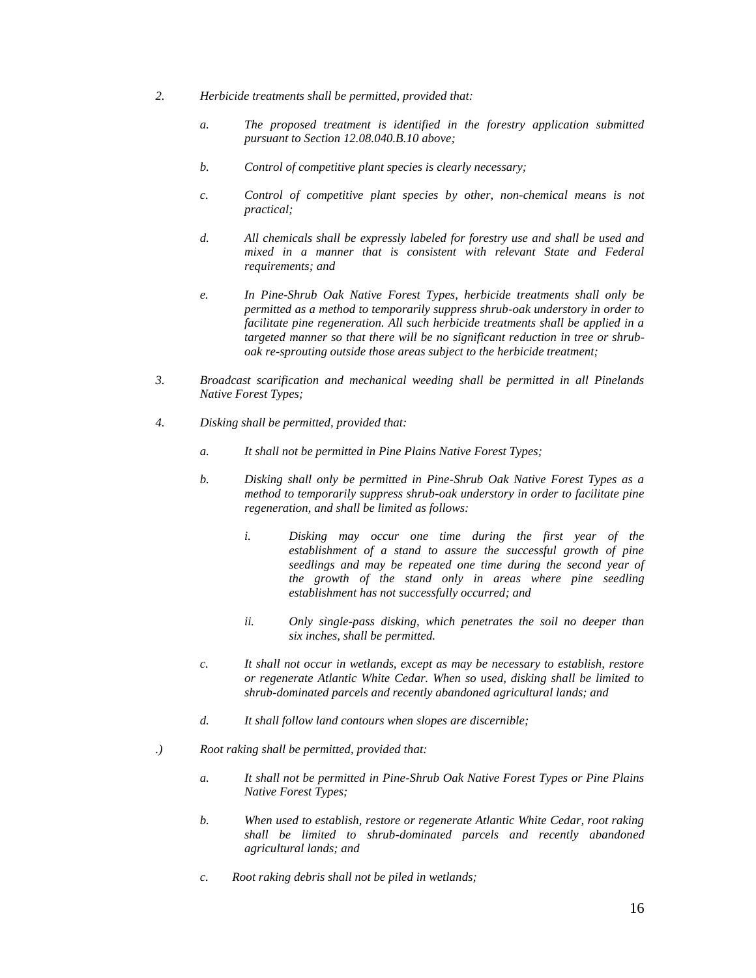- *2. Herbicide treatments shall be permitted, provided that:*
	- *a. The proposed treatment is identified in the forestry application submitted pursuant to Section 12.08.040.B.10 above;*
	- *b. Control of competitive plant species is clearly necessary;*
	- *c. Control of competitive plant species by other, non-chemical means is not practical;*
	- *d. All chemicals shall be expressly labeled for forestry use and shall be used and mixed in a manner that is consistent with relevant State and Federal requirements; and*
	- *e. In Pine-Shrub Oak Native Forest Types, herbicide treatments shall only be permitted as a method to temporarily suppress shrub-oak understory in order to facilitate pine regeneration. All such herbicide treatments shall be applied in a targeted manner so that there will be no significant reduction in tree or shruboak re-sprouting outside those areas subject to the herbicide treatment;*
- *3. Broadcast scarification and mechanical weeding shall be permitted in all Pinelands Native Forest Types;*
- *4. Disking shall be permitted, provided that:*
	- *a. It shall not be permitted in Pine Plains Native Forest Types;*
	- *b. Disking shall only be permitted in Pine-Shrub Oak Native Forest Types as a method to temporarily suppress shrub-oak understory in order to facilitate pine regeneration, and shall be limited as follows:*
		- *i. Disking may occur one time during the first year of the establishment of a stand to assure the successful growth of pine seedlings and may be repeated one time during the second year of the growth of the stand only in areas where pine seedling establishment has not successfully occurred; and*
		- *ii. Only single-pass disking, which penetrates the soil no deeper than six inches, shall be permitted.*
	- *c. It shall not occur in wetlands, except as may be necessary to establish, restore or regenerate Atlantic White Cedar. When so used, disking shall be limited to shrub-dominated parcels and recently abandoned agricultural lands; and*
	- *d. It shall follow land contours when slopes are discernible;*
- *.) Root raking shall be permitted, provided that:*
	- *a. It shall not be permitted in Pine-Shrub Oak Native Forest Types or Pine Plains Native Forest Types;*
	- *b. When used to establish, restore or regenerate Atlantic White Cedar, root raking shall be limited to shrub-dominated parcels and recently abandoned agricultural lands; and*
	- *c. Root raking debris shall not be piled in wetlands;*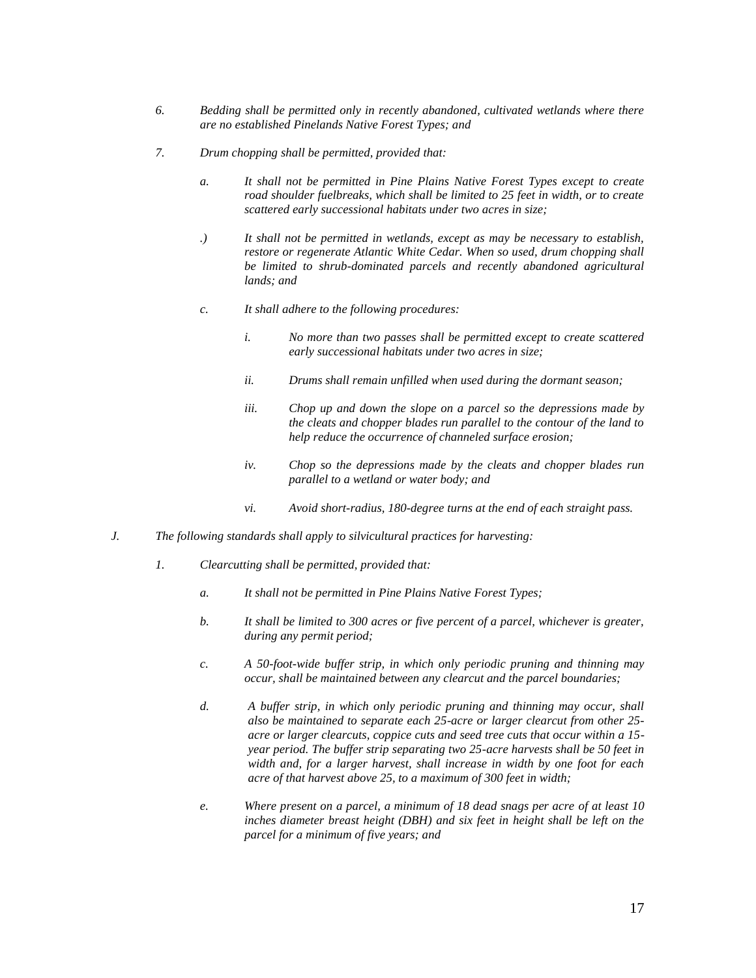- *6. Bedding shall be permitted only in recently abandoned, cultivated wetlands where there are no established Pinelands Native Forest Types; and*
- *7. Drum chopping shall be permitted, provided that:*
	- *a. It shall not be permitted in Pine Plains Native Forest Types except to create road shoulder fuelbreaks, which shall be limited to 25 feet in width, or to create scattered early successional habitats under two acres in size;*
	- *.) It shall not be permitted in wetlands, except as may be necessary to establish, restore or regenerate Atlantic White Cedar. When so used, drum chopping shall be limited to shrub-dominated parcels and recently abandoned agricultural lands; and*
	- *c. It shall adhere to the following procedures:*
		- *i. No more than two passes shall be permitted except to create scattered early successional habitats under two acres in size;*
		- *ii. Drums shall remain unfilled when used during the dormant season;*
		- *iii. Chop up and down the slope on a parcel so the depressions made by the cleats and chopper blades run parallel to the contour of the land to help reduce the occurrence of channeled surface erosion;*
		- *iv. Chop so the depressions made by the cleats and chopper blades run parallel to a wetland or water body; and*
		- *vi. Avoid short-radius, 180-degree turns at the end of each straight pass.*
- *J. The following standards shall apply to silvicultural practices for harvesting:*
	- *1. Clearcutting shall be permitted, provided that:*
		- *a. It shall not be permitted in Pine Plains Native Forest Types;*
		- *b. It shall be limited to 300 acres or five percent of a parcel, whichever is greater, during any permit period;*
		- *c. A 50-foot-wide buffer strip, in which only periodic pruning and thinning may occur, shall be maintained between any clearcut and the parcel boundaries;*
		- *d. A buffer strip, in which only periodic pruning and thinning may occur, shall also be maintained to separate each 25-acre or larger clearcut from other 25 acre or larger clearcuts, coppice cuts and seed tree cuts that occur within a 15 year period. The buffer strip separating two 25-acre harvests shall be 50 feet in width and, for a larger harvest, shall increase in width by one foot for each acre of that harvest above 25, to a maximum of 300 feet in width;*
		- *e. Where present on a parcel, a minimum of 18 dead snags per acre of at least 10*  inches diameter breast height (DBH) and six feet in height shall be left on the *parcel for a minimum of five years; and*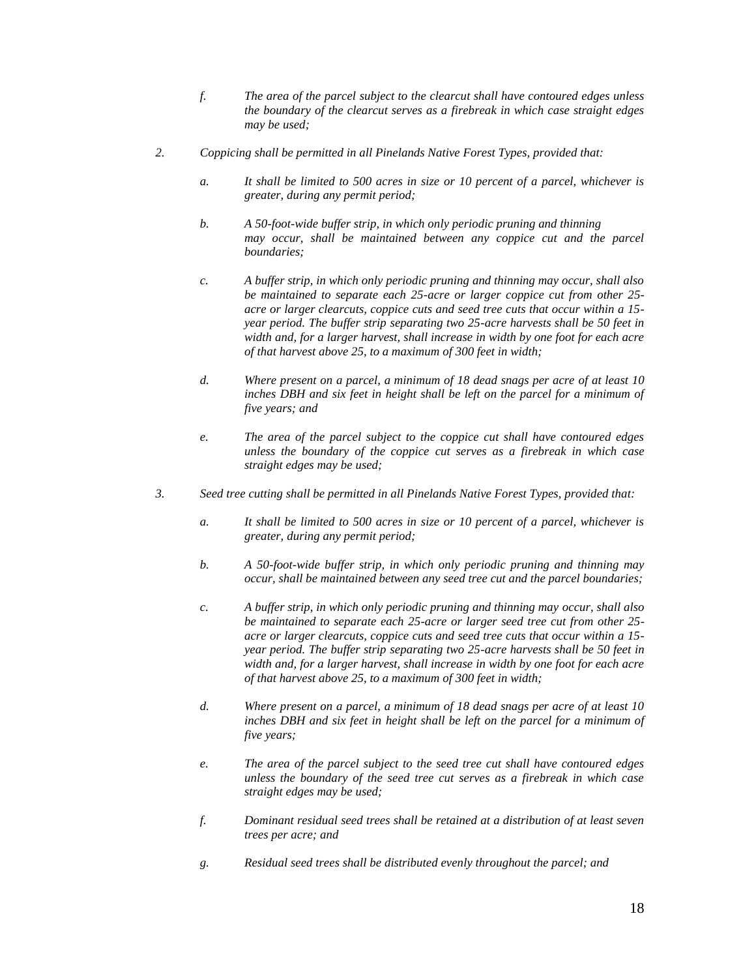- *f. The area of the parcel subject to the clearcut shall have contoured edges unless the boundary of the clearcut serves as a firebreak in which case straight edges may be used;*
- *2. Coppicing shall be permitted in all Pinelands Native Forest Types, provided that:*
	- *a. It shall be limited to 500 acres in size or 10 percent of a parcel, whichever is greater, during any permit period;*
	- *b. A 50-foot-wide buffer strip, in which only periodic pruning and thinning may occur, shall be maintained between any coppice cut and the parcel boundaries;*
	- *c. A buffer strip, in which only periodic pruning and thinning may occur, shall also be maintained to separate each 25-acre or larger coppice cut from other 25 acre or larger clearcuts, coppice cuts and seed tree cuts that occur within a 15 year period. The buffer strip separating two 25-acre harvests shall be 50 feet in width and, for a larger harvest, shall increase in width by one foot for each acre of that harvest above 25, to a maximum of 300 feet in width;*
	- *d. Where present on a parcel, a minimum of 18 dead snags per acre of at least 10*  inches DBH and six feet in height shall be left on the parcel for a minimum of *five years; and*
	- *e. The area of the parcel subject to the coppice cut shall have contoured edges unless the boundary of the coppice cut serves as a firebreak in which case straight edges may be used;*
- *3. Seed tree cutting shall be permitted in all Pinelands Native Forest Types, provided that:*
	- *a. It shall be limited to 500 acres in size or 10 percent of a parcel, whichever is greater, during any permit period;*
	- *b. A 50-foot-wide buffer strip, in which only periodic pruning and thinning may occur, shall be maintained between any seed tree cut and the parcel boundaries;*
	- *c. A buffer strip, in which only periodic pruning and thinning may occur, shall also be maintained to separate each 25-acre or larger seed tree cut from other 25 acre or larger clearcuts, coppice cuts and seed tree cuts that occur within a 15 year period. The buffer strip separating two 25-acre harvests shall be 50 feet in width and, for a larger harvest, shall increase in width by one foot for each acre of that harvest above 25, to a maximum of 300 feet in width;*
	- *d. Where present on a parcel, a minimum of 18 dead snags per acre of at least 10*  inches DBH and six feet in height shall be left on the parcel for a minimum of *five years;*
	- *e. The area of the parcel subject to the seed tree cut shall have contoured edges unless the boundary of the seed tree cut serves as a firebreak in which case straight edges may be used;*
	- *f. Dominant residual seed trees shall be retained at a distribution of at least seven trees per acre; and*
	- *g. Residual seed trees shall be distributed evenly throughout the parcel; and*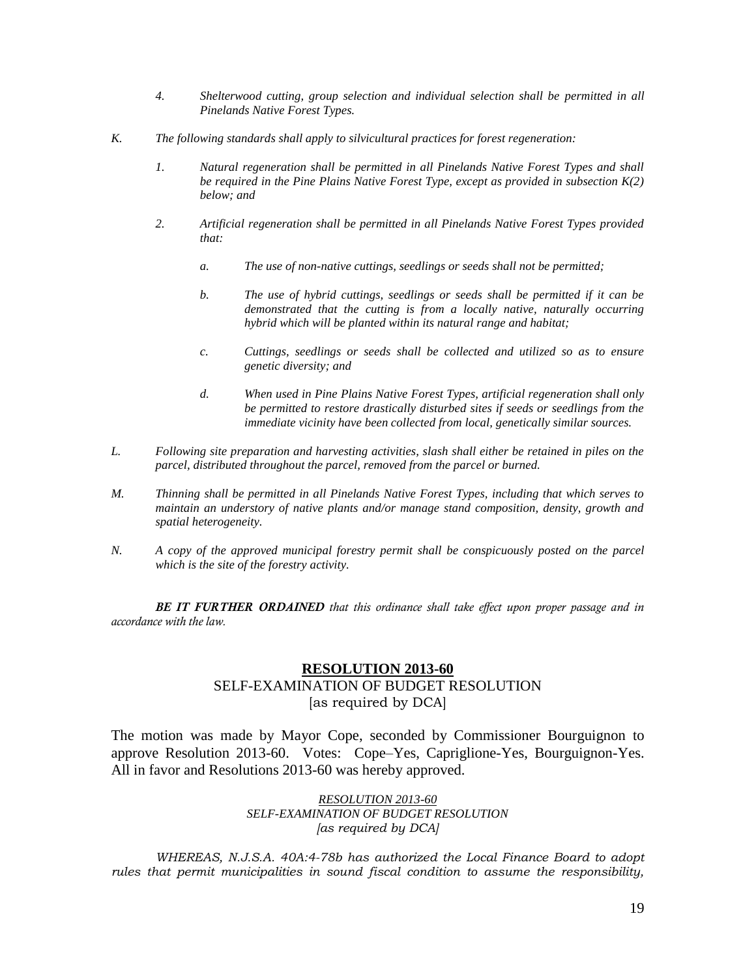- *4. Shelterwood cutting, group selection and individual selection shall be permitted in all Pinelands Native Forest Types.*
- *K. The following standards shall apply to silvicultural practices for forest regeneration:*
	- *1. Natural regeneration shall be permitted in all Pinelands Native Forest Types and shall be required in the Pine Plains Native Forest Type, except as provided in subsection K(2) below; and*
	- *2. Artificial regeneration shall be permitted in all Pinelands Native Forest Types provided that:*
		- *a. The use of non-native cuttings, seedlings or seeds shall not be permitted;*
		- *b. The use of hybrid cuttings, seedlings or seeds shall be permitted if it can be demonstrated that the cutting is from a locally native, naturally occurring hybrid which will be planted within its natural range and habitat;*
		- *c. Cuttings, seedlings or seeds shall be collected and utilized so as to ensure genetic diversity; and*
		- *d. When used in Pine Plains Native Forest Types, artificial regeneration shall only be permitted to restore drastically disturbed sites if seeds or seedlings from the immediate vicinity have been collected from local, genetically similar sources.*
- *L. Following site preparation and harvesting activities, slash shall either be retained in piles on the parcel, distributed throughout the parcel, removed from the parcel or burned.*
- *M. Thinning shall be permitted in all Pinelands Native Forest Types, including that which serves to maintain an understory of native plants and/or manage stand composition, density, growth and spatial heterogeneity.*
- *N. A copy of the approved municipal forestry permit shall be conspicuously posted on the parcel which is the site of the forestry activity.*

*BE IT FURTHER ORDAINED that this ordinance shall take effect upon proper passage and in accordance with the law.*

# **RESOLUTION 2013-60**

# SELF-EXAMINATION OF BUDGET RESOLUTION [as required by DCA]

The motion was made by Mayor Cope, seconded by Commissioner Bourguignon to approve Resolution 2013-60. Votes: Cope–Yes, Capriglione-Yes, Bourguignon-Yes. All in favor and Resolutions 2013-60 was hereby approved.

> *RESOLUTION 2013-60 SELF-EXAMINATION OF BUDGET RESOLUTION [as required by DCA]*

*WHEREAS, N.J.S.A. 40A:4-78b has authorized the Local Finance Board to adopt rules that permit municipalities in sound fiscal condition to assume the responsibility,*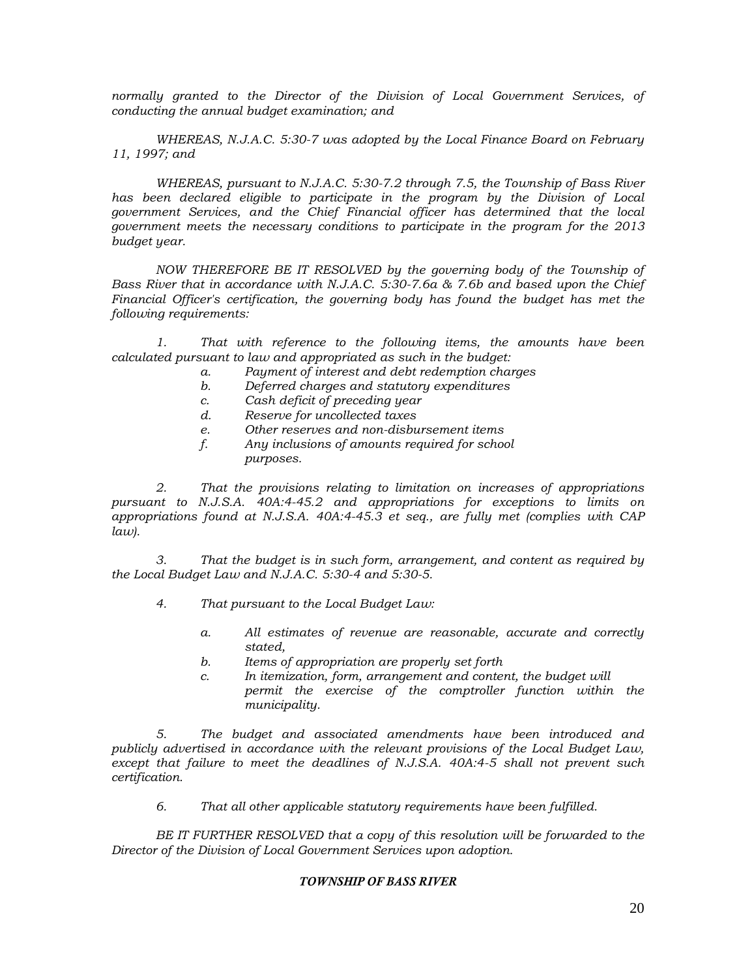*normally granted to the Director of the Division of Local Government Services, of conducting the annual budget examination; and*

*WHEREAS, N.J.A.C. 5:30-7 was adopted by the Local Finance Board on February 11, 1997; and*

*WHEREAS, pursuant to N.J.A.C. 5:30-7.2 through 7.5, the Township of Bass River has been declared eligible to participate in the program by the Division of Local government Services, and the Chief Financial officer has determined that the local government meets the necessary conditions to participate in the program for the 2013 budget year.*

*NOW THEREFORE BE IT RESOLVED by the governing body of the Township of Bass River that in accordance with N.J.A.C. 5:30-7.6a & 7.6b and based upon the Chief Financial Officer's certification, the governing body has found the budget has met the following requirements:*

*1. That with reference to the following items, the amounts have been calculated pursuant to law and appropriated as such in the budget:*

- *a. Payment of interest and debt redemption charges*
- *b. Deferred charges and statutory expenditures*
- *c. Cash deficit of preceding year*
- *d. Reserve for uncollected taxes*
- *e. Other reserves and non-disbursement items*
- *f. Any inclusions of amounts required for school purposes.*

*2. That the provisions relating to limitation on increases of appropriations pursuant to N.J.S.A. 40A:4-45.2 and appropriations for exceptions to limits on appropriations found at N.J.S.A. 40A:4-45.3 et seq., are fully met (complies with CAP law).*

*3. That the budget is in such form, arrangement, and content as required by the Local Budget Law and N.J.A.C. 5:30-4 and 5:30-5.*

- *4. That pursuant to the Local Budget Law:*
	- *a. All estimates of revenue are reasonable, accurate and correctly stated,*
	- *b. Items of appropriation are properly set forth*
	- *c. In itemization, form, arrangement and content, the budget will permit the exercise of the comptroller function within the municipality.*

*5. The budget and associated amendments have been introduced and publicly advertised in accordance with the relevant provisions of the Local Budget Law, except that failure to meet the deadlines of N.J.S.A. 40A:4-5 shall not prevent such certification.*

*6. That all other applicable statutory requirements have been fulfilled.*

*BE IT FURTHER RESOLVED that a copy of this resolution will be forwarded to the Director of the Division of Local Government Services upon adoption.*

### *TOWNSHIP OF BASS RIVER*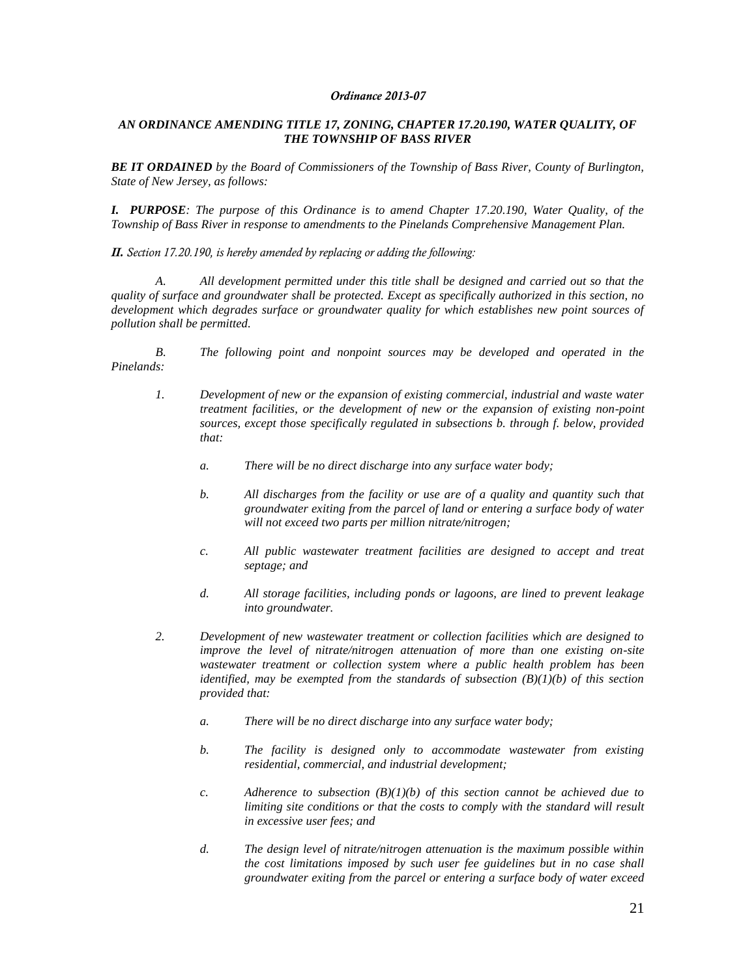#### *Ordinance 2013-07*

### *AN ORDINANCE AMENDING TITLE 17, ZONING, CHAPTER 17.20.190, WATER QUALITY, OF THE TOWNSHIP OF BASS RIVER*

*BE IT ORDAINED by the Board of Commissioners of the Township of Bass River, County of Burlington, State of New Jersey, as follows:*

*I. PURPOSE: The purpose of this Ordinance is to amend Chapter 17.20.190, Water Quality, of the Township of Bass River in response to amendments to the Pinelands Comprehensive Management Plan.*

*II. Section 17.20.190, is hereby amended by replacing or adding the following:*

*A. All development permitted under this title shall be designed and carried out so that the quality of surface and groundwater shall be protected. Except as specifically authorized in this section, no development which degrades surface or groundwater quality for which establishes new point sources of pollution shall be permitted.*

*B. The following point and nonpoint sources may be developed and operated in the Pinelands:*

- *1. Development of new or the expansion of existing commercial, industrial and waste water treatment facilities, or the development of new or the expansion of existing non-point sources, except those specifically regulated in subsections b. through f. below, provided that:*
	- *a. There will be no direct discharge into any surface water body;*
	- *b. All discharges from the facility or use are of a quality and quantity such that groundwater exiting from the parcel of land or entering a surface body of water will not exceed two parts per million nitrate/nitrogen;*
	- *c. All public wastewater treatment facilities are designed to accept and treat septage; and*
	- *d. All storage facilities, including ponds or lagoons, are lined to prevent leakage into groundwater.*
- *2. Development of new wastewater treatment or collection facilities which are designed to improve the level of nitrate/nitrogen attenuation of more than one existing on-site wastewater treatment or collection system where a public health problem has been identified, may be exempted from the standards of subsection (B)(1)(b) of this section provided that:*
	- *a. There will be no direct discharge into any surface water body;*
	- *b. The facility is designed only to accommodate wastewater from existing residential, commercial, and industrial development;*
	- *c.* Adherence to subsection  $(B)(1)(b)$  of this section cannot be achieved due to *limiting site conditions or that the costs to comply with the standard will result in excessive user fees; and*
	- *d. The design level of nitrate/nitrogen attenuation is the maximum possible within the cost limitations imposed by such user fee guidelines but in no case shall groundwater exiting from the parcel or entering a surface body of water exceed*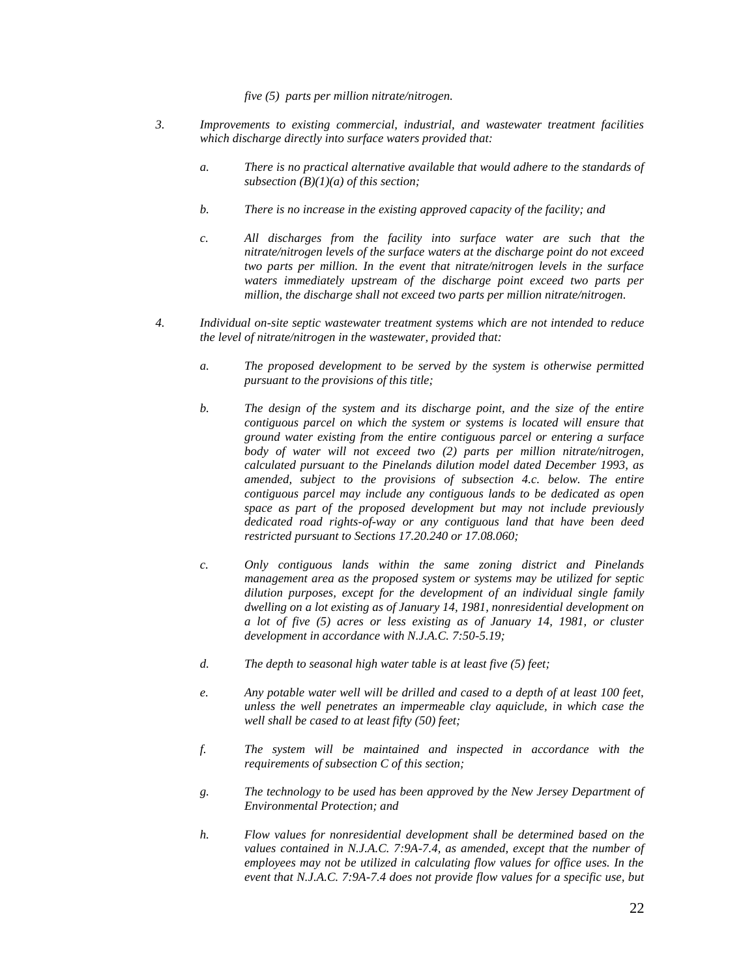*five (5) parts per million nitrate/nitrogen.*

- *3. Improvements to existing commercial, industrial, and wastewater treatment facilities which discharge directly into surface waters provided that:*
	- *a. There is no practical alternative available that would adhere to the standards of subsection (B)(1)(a) of this section;*
	- *b. There is no increase in the existing approved capacity of the facility; and*
	- *c. All discharges from the facility into surface water are such that the nitrate/nitrogen levels of the surface waters at the discharge point do not exceed two parts per million. In the event that nitrate/nitrogen levels in the surface waters immediately upstream of the discharge point exceed two parts per million, the discharge shall not exceed two parts per million nitrate/nitrogen.*
- *4. Individual on-site septic wastewater treatment systems which are not intended to reduce the level of nitrate/nitrogen in the wastewater, provided that:*
	- *a. The proposed development to be served by the system is otherwise permitted pursuant to the provisions of this title;*
	- *b. The design of the system and its discharge point, and the size of the entire contiguous parcel on which the system or systems is located will ensure that ground water existing from the entire contiguous parcel or entering a surface body of water will not exceed two (2) parts per million nitrate/nitrogen, calculated pursuant to the Pinelands dilution model dated December 1993, as amended, subject to the provisions of subsection 4.c. below. The entire contiguous parcel may include any contiguous lands to be dedicated as open space as part of the proposed development but may not include previously dedicated road rights-of-way or any contiguous land that have been deed restricted pursuant to Sections 17.20.240 or 17.08.060;*
	- *c. Only contiguous lands within the same zoning district and Pinelands management area as the proposed system or systems may be utilized for septic dilution purposes, except for the development of an individual single family dwelling on a lot existing as of January 14, 1981, nonresidential development on a lot of five (5) acres or less existing as of January 14, 1981, or cluster development in accordance with N.J.A.C. 7:50-5.19;*
	- *d. The depth to seasonal high water table is at least five (5) feet;*
	- *e. Any potable water well will be drilled and cased to a depth of at least 100 feet, unless the well penetrates an impermeable clay aquiclude, in which case the well shall be cased to at least fifty (50) feet;*
	- *f. The system will be maintained and inspected in accordance with the requirements of subsection C of this section;*
	- *g. The technology to be used has been approved by the New Jersey Department of Environmental Protection; and*
	- *h. Flow values for nonresidential development shall be determined based on the*  values contained in N.J.A.C. 7:9A-7.4, as amended, except that the number of employees may not be utilized in calculating flow values for office uses. In the *event that N.J.A.C. 7:9A-7.4 does not provide flow values for a specific use, but*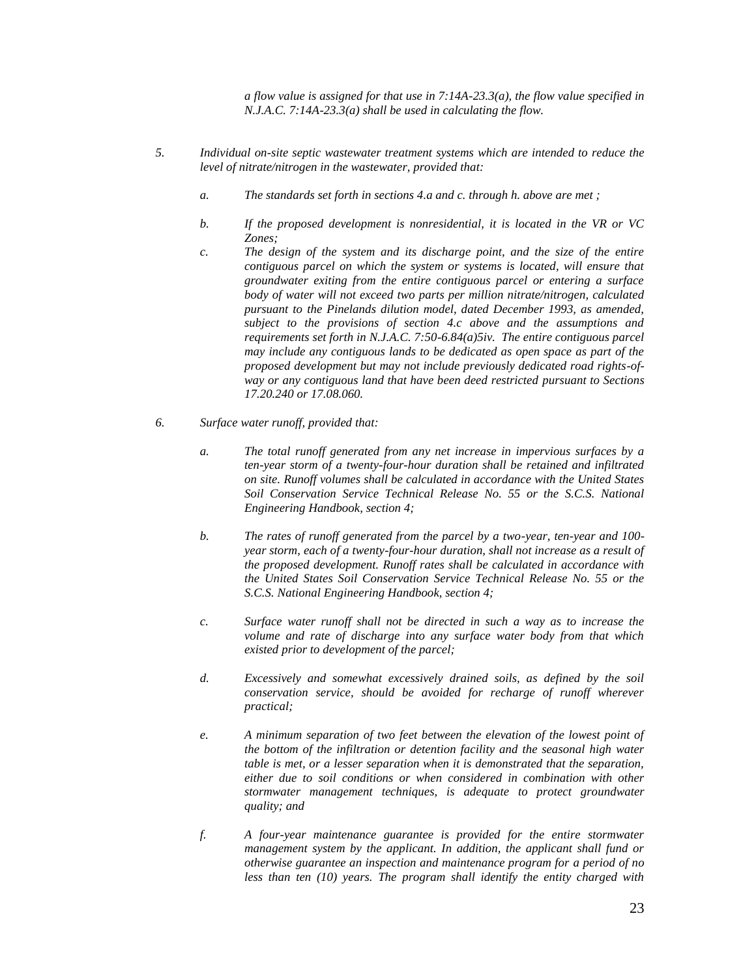*a flow value is assigned for that use in 7:14A-23.3(a), the flow value specified in N.J.A.C. 7:14A-23.3(a) shall be used in calculating the flow.*

- *5. Individual on-site septic wastewater treatment systems which are intended to reduce the level of nitrate/nitrogen in the wastewater, provided that:*
	- *a. The standards set forth in sections 4.a and c. through h. above are met ;*
	- *b. If the proposed development is nonresidential, it is located in the VR or VC Zones;*
	- *c. The design of the system and its discharge point, and the size of the entire contiguous parcel on which the system or systems is located, will ensure that groundwater exiting from the entire contiguous parcel or entering a surface body of water will not exceed two parts per million nitrate/nitrogen, calculated pursuant to the Pinelands dilution model, dated December 1993, as amended, subject to the provisions of section 4.c above and the assumptions and requirements set forth in N.J.A.C. 7:50-6.84(a)5iv. The entire contiguous parcel may include any contiguous lands to be dedicated as open space as part of the proposed development but may not include previously dedicated road rights-ofway or any contiguous land that have been deed restricted pursuant to Sections 17.20.240 or 17.08.060.*
- *6. Surface water runoff, provided that:*
	- *a. The total runoff generated from any net increase in impervious surfaces by a ten-year storm of a twenty-four-hour duration shall be retained and infiltrated on site. Runoff volumes shall be calculated in accordance with the United States Soil Conservation Service Technical Release No. 55 or the S.C.S. National Engineering Handbook, section 4;*
	- *b. The rates of runoff generated from the parcel by a two-year, ten-year and 100 year storm, each of a twenty-four-hour duration, shall not increase as a result of the proposed development. Runoff rates shall be calculated in accordance with the United States Soil Conservation Service Technical Release No. 55 or the S.C.S. National Engineering Handbook, section 4;*
	- *c. Surface water runoff shall not be directed in such a way as to increase the volume and rate of discharge into any surface water body from that which existed prior to development of the parcel;*
	- *d. Excessively and somewhat excessively drained soils, as defined by the soil conservation service, should be avoided for recharge of runoff wherever practical;*
	- *e. A minimum separation of two feet between the elevation of the lowest point of the bottom of the infiltration or detention facility and the seasonal high water table is met, or a lesser separation when it is demonstrated that the separation, either due to soil conditions or when considered in combination with other stormwater management techniques, is adequate to protect groundwater quality; and*
	- *f. A four-year maintenance guarantee is provided for the entire stormwater management system by the applicant. In addition, the applicant shall fund or otherwise guarantee an inspection and maintenance program for a period of no less than ten (10) years. The program shall identify the entity charged with*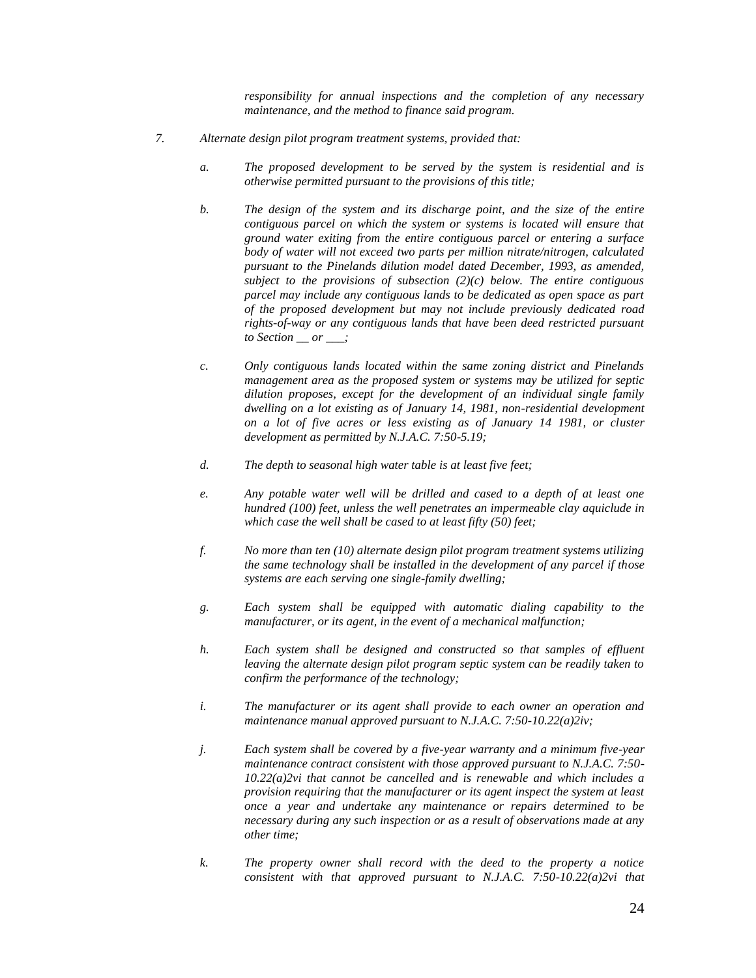*responsibility for annual inspections and the completion of any necessary maintenance, and the method to finance said program.*

- *7. Alternate design pilot program treatment systems, provided that:*
	- *a. The proposed development to be served by the system is residential and is otherwise permitted pursuant to the provisions of this title;*
	- *b. The design of the system and its discharge point, and the size of the entire contiguous parcel on which the system or systems is located will ensure that ground water exiting from the entire contiguous parcel or entering a surface body of water will not exceed two parts per million nitrate/nitrogen, calculated pursuant to the Pinelands dilution model dated December, 1993, as amended, subject to the provisions of subsection (2)(c) below. The entire contiguous parcel may include any contiguous lands to be dedicated as open space as part of the proposed development but may not include previously dedicated road rights-of-way or any contiguous lands that have been deed restricted pursuant to Section \_\_ or \_\_\_;*
	- *c. Only contiguous lands located within the same zoning district and Pinelands management area as the proposed system or systems may be utilized for septic dilution proposes, except for the development of an individual single family dwelling on a lot existing as of January 14, 1981, non-residential development on a lot of five acres or less existing as of January 14 1981, or cluster development as permitted by N.J.A.C. 7:50-5.19;*
	- *d. The depth to seasonal high water table is at least five feet;*
	- *e. Any potable water well will be drilled and cased to a depth of at least one hundred (100) feet, unless the well penetrates an impermeable clay aquiclude in which case the well shall be cased to at least fifty (50) feet;*
	- *f. No more than ten (10) alternate design pilot program treatment systems utilizing the same technology shall be installed in the development of any parcel if those systems are each serving one single-family dwelling;*
	- *g. Each system shall be equipped with automatic dialing capability to the manufacturer, or its agent, in the event of a mechanical malfunction;*
	- *h. Each system shall be designed and constructed so that samples of effluent leaving the alternate design pilot program septic system can be readily taken to confirm the performance of the technology;*
	- *i. The manufacturer or its agent shall provide to each owner an operation and maintenance manual approved pursuant to N.J.A.C. 7:50-10.22(a)2iv;*
	- *j. Each system shall be covered by a five-year warranty and a minimum five-year maintenance contract consistent with those approved pursuant to N.J.A.C. 7:50- 10.22(a)2vi that cannot be cancelled and is renewable and which includes a provision requiring that the manufacturer or its agent inspect the system at least once a year and undertake any maintenance or repairs determined to be necessary during any such inspection or as a result of observations made at any other time;*
	- *k. The property owner shall record with the deed to the property a notice consistent with that approved pursuant to N.J.A.C. 7:50-10.22(a)2vi that*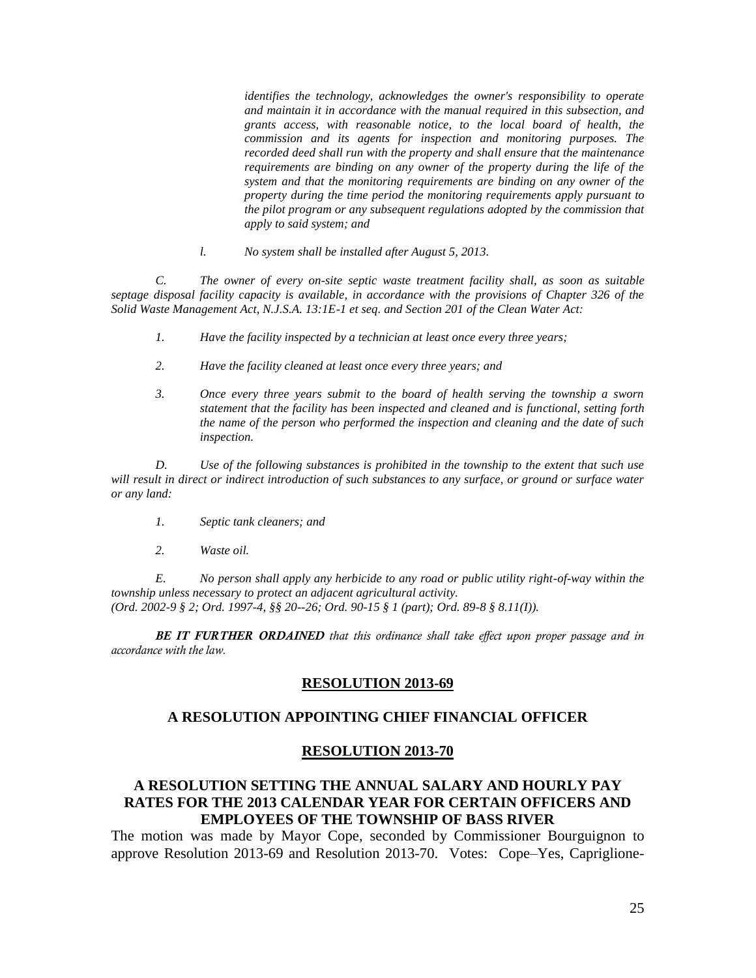*identifies the technology, acknowledges the owner's responsibility to operate and maintain it in accordance with the manual required in this subsection, and grants access, with reasonable notice, to the local board of health, the commission and its agents for inspection and monitoring purposes. The recorded deed shall run with the property and shall ensure that the maintenance requirements are binding on any owner of the property during the life of the system and that the monitoring requirements are binding on any owner of the property during the time period the monitoring requirements apply pursuant to the pilot program or any subsequent regulations adopted by the commission that apply to said system; and*

*l. No system shall be installed after August 5, 2013.*

*C. The owner of every on-site septic waste treatment facility shall, as soon as suitable septage disposal facility capacity is available, in accordance with the provisions of Chapter 326 of the Solid Waste Management Act, N.J.S.A. 13:1E-1 et seq. and Section 201 of the Clean Water Act:*

- *1. Have the facility inspected by a technician at least once every three years;*
- *2. Have the facility cleaned at least once every three years; and*
- *3. Once every three years submit to the board of health serving the township a sworn statement that the facility has been inspected and cleaned and is functional, setting forth the name of the person who performed the inspection and cleaning and the date of such inspection.*

*D. Use of the following substances is prohibited in the township to the extent that such use will result in direct or indirect introduction of such substances to any surface, or ground or surface water or any land:*

- *1. Septic tank cleaners; and*
- *2. Waste oil.*

*E. No person shall apply any herbicide to any road or public utility right-of-way within the township unless necessary to protect an adjacent agricultural activity. (Ord. 2002-9 § 2; Ord. 1997-4, §§ 20--26; Ord. 90-15 § 1 (part); Ord. 89-8 § 8.11(I)).*

*BE IT FURTHER ORDAINED that this ordinance shall take effect upon proper passage and in accordance with the law.*

## **RESOLUTION 2013-69**

## **A RESOLUTION APPOINTING CHIEF FINANCIAL OFFICER**

## **RESOLUTION 2013-70**

# **A RESOLUTION SETTING THE ANNUAL SALARY AND HOURLY PAY RATES FOR THE 2013 CALENDAR YEAR FOR CERTAIN OFFICERS AND EMPLOYEES OF THE TOWNSHIP OF BASS RIVER**

The motion was made by Mayor Cope, seconded by Commissioner Bourguignon to approve Resolution 2013-69 and Resolution 2013-70. Votes: Cope–Yes, Capriglione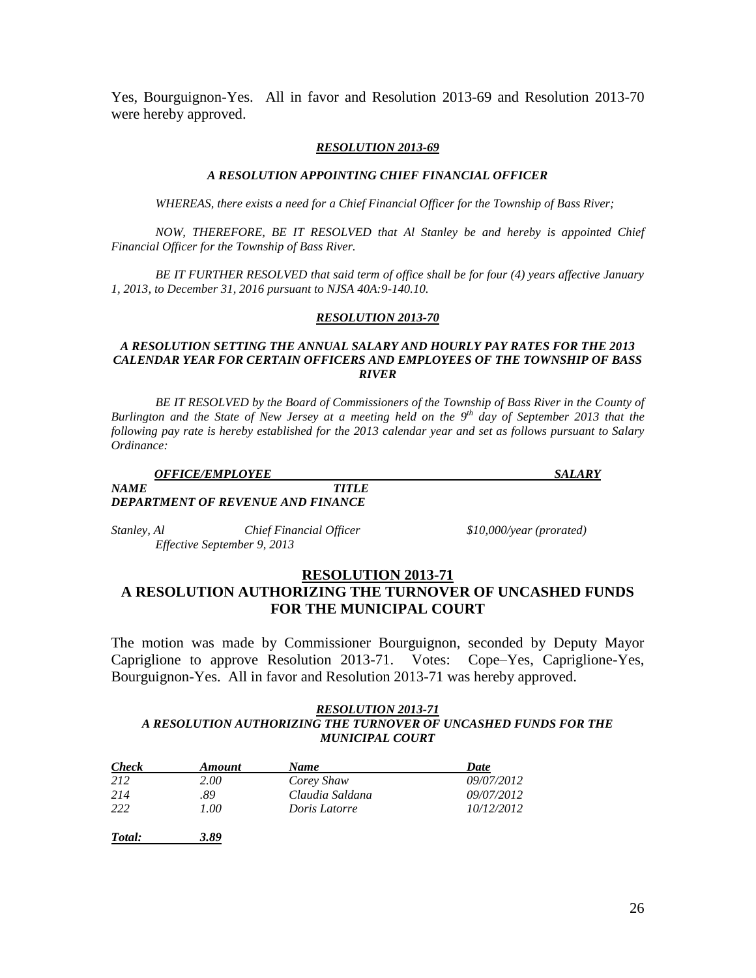Yes, Bourguignon-Yes. All in favor and Resolution 2013-69 and Resolution 2013-70 were hereby approved.

#### *RESOLUTION 2013-69*

#### *A RESOLUTION APPOINTING CHIEF FINANCIAL OFFICER*

*WHEREAS, there exists a need for a Chief Financial Officer for the Township of Bass River;*

*NOW, THEREFORE, BE IT RESOLVED that Al Stanley be and hereby is appointed Chief Financial Officer for the Township of Bass River.*

*BE IT FURTHER RESOLVED that said term of office shall be for four (4) years affective January 1, 2013, to December 31, 2016 pursuant to NJSA 40A:9-140.10.*

#### *RESOLUTION 2013-70*

## *A RESOLUTION SETTING THE ANNUAL SALARY AND HOURLY PAY RATES FOR THE 2013 CALENDAR YEAR FOR CERTAIN OFFICERS AND EMPLOYEES OF THE TOWNSHIP OF BASS RIVER*

*BE IT RESOLVED by the Board of Commissioners of the Township of Bass River in the County of Burlington and the State of New Jersey at a meeting held on the 9<sup>th</sup> day of September 2013 that the following pay rate is hereby established for the 2013 calendar year and set as follows pursuant to Salary Ordinance:*

*OFFICE/EMPLOYEE SALARY*

### *NAME TITLE DEPARTMENT OF REVENUE AND FINANCE*

*Stanley, Al Chief Financial Officer \$10,000/year (prorated) Effective September 9, 2013* 

### **RESOLUTION 2013-71**

# **A RESOLUTION AUTHORIZING THE TURNOVER OF UNCASHED FUNDS FOR THE MUNICIPAL COURT**

The motion was made by Commissioner Bourguignon, seconded by Deputy Mayor Capriglione to approve Resolution 2013-71. Votes: Cope–Yes, Capriglione-Yes, Bourguignon-Yes. All in favor and Resolution 2013-71 was hereby approved.

#### *RESOLUTION 2013-71 A RESOLUTION AUTHORIZING THE TURNOVER OF UNCASHED FUNDS FOR THE MUNICIPAL COURT*

| <b>Check</b> | <b>Amount</b> | <b>Name</b>     | Date       |
|--------------|---------------|-----------------|------------|
| 212          | 2.00          | Corey Shaw      | 09/07/2012 |
| 214          | .89           | Claudia Saldana | 09/07/2012 |
| 222          | 1.00          | Doris Latorre   | 10/12/2012 |
|              |               |                 |            |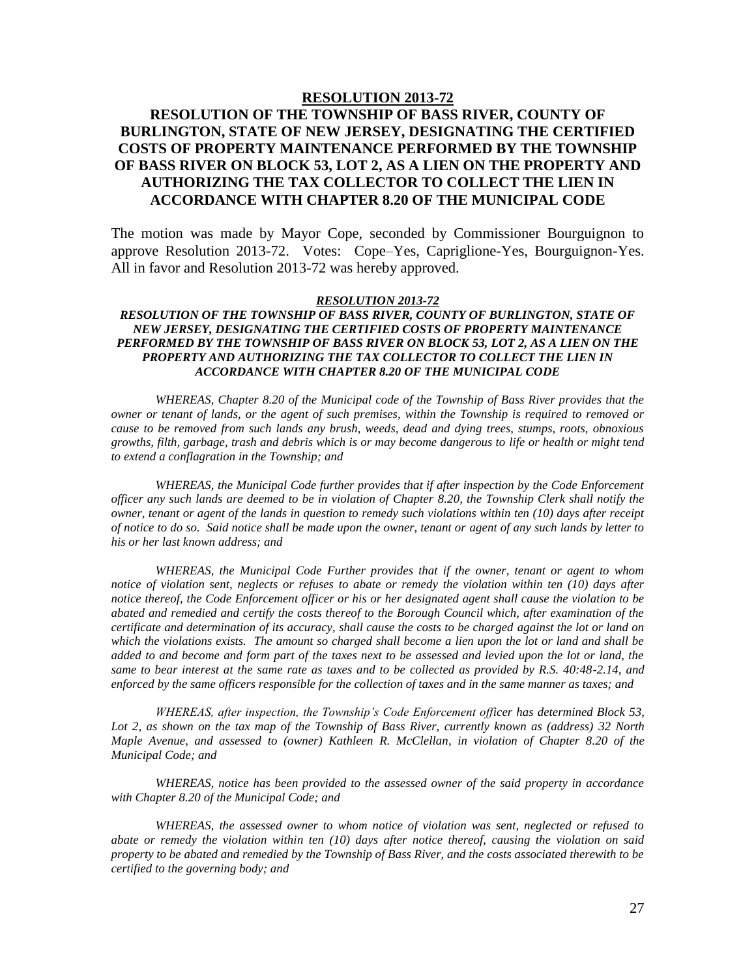### **RESOLUTION 2013-72**

# **RESOLUTION OF THE TOWNSHIP OF BASS RIVER, COUNTY OF BURLINGTON, STATE OF NEW JERSEY, DESIGNATING THE CERTIFIED COSTS OF PROPERTY MAINTENANCE PERFORMED BY THE TOWNSHIP OF BASS RIVER ON BLOCK 53, LOT 2, AS A LIEN ON THE PROPERTY AND AUTHORIZING THE TAX COLLECTOR TO COLLECT THE LIEN IN ACCORDANCE WITH CHAPTER 8.20 OF THE MUNICIPAL CODE**

The motion was made by Mayor Cope, seconded by Commissioner Bourguignon to approve Resolution 2013-72. Votes: Cope–Yes, Capriglione-Yes, Bourguignon-Yes. All in favor and Resolution 2013-72 was hereby approved.

#### *RESOLUTION 2013-72*

### *RESOLUTION OF THE TOWNSHIP OF BASS RIVER, COUNTY OF BURLINGTON, STATE OF NEW JERSEY, DESIGNATING THE CERTIFIED COSTS OF PROPERTY MAINTENANCE PERFORMED BY THE TOWNSHIP OF BASS RIVER ON BLOCK 53, LOT 2, AS A LIEN ON THE PROPERTY AND AUTHORIZING THE TAX COLLECTOR TO COLLECT THE LIEN IN ACCORDANCE WITH CHAPTER 8.20 OF THE MUNICIPAL CODE*

*WHEREAS, Chapter 8.20 of the Municipal code of the Township of Bass River provides that the owner or tenant of lands, or the agent of such premises, within the Township is required to removed or cause to be removed from such lands any brush, weeds, dead and dying trees, stumps, roots, obnoxious growths, filth, garbage, trash and debris which is or may become dangerous to life or health or might tend to extend a conflagration in the Township; and*

*WHEREAS, the Municipal Code further provides that if after inspection by the Code Enforcement officer any such lands are deemed to be in violation of Chapter 8.20, the Township Clerk shall notify the owner, tenant or agent of the lands in question to remedy such violations within ten (10) days after receipt of notice to do so. Said notice shall be made upon the owner, tenant or agent of any such lands by letter to his or her last known address; and*

*WHEREAS, the Municipal Code Further provides that if the owner, tenant or agent to whom notice of violation sent, neglects or refuses to abate or remedy the violation within ten (10) days after notice thereof, the Code Enforcement officer or his or her designated agent shall cause the violation to be abated and remedied and certify the costs thereof to the Borough Council which, after examination of the certificate and determination of its accuracy, shall cause the costs to be charged against the lot or land on which the violations exists. The amount so charged shall become a lien upon the lot or land and shall be added to and become and form part of the taxes next to be assessed and levied upon the lot or land, the same to bear interest at the same rate as taxes and to be collected as provided by R.S. 40:48-2.14, and enforced by the same officers responsible for the collection of taxes and in the same manner as taxes; and*

*WHEREAS, after inspection, the Township's Code Enforcement officer has determined Block 53, Lot 2, as shown on the tax map of the Township of Bass River, currently known as (address) 32 North Maple Avenue, and assessed to (owner) Kathleen R. McClellan, in violation of Chapter 8.20 of the Municipal Code; and*

*WHEREAS, notice has been provided to the assessed owner of the said property in accordance with Chapter 8.20 of the Municipal Code; and*

*WHEREAS, the assessed owner to whom notice of violation was sent, neglected or refused to abate or remedy the violation within ten (10) days after notice thereof, causing the violation on said property to be abated and remedied by the Township of Bass River, and the costs associated therewith to be certified to the governing body; and*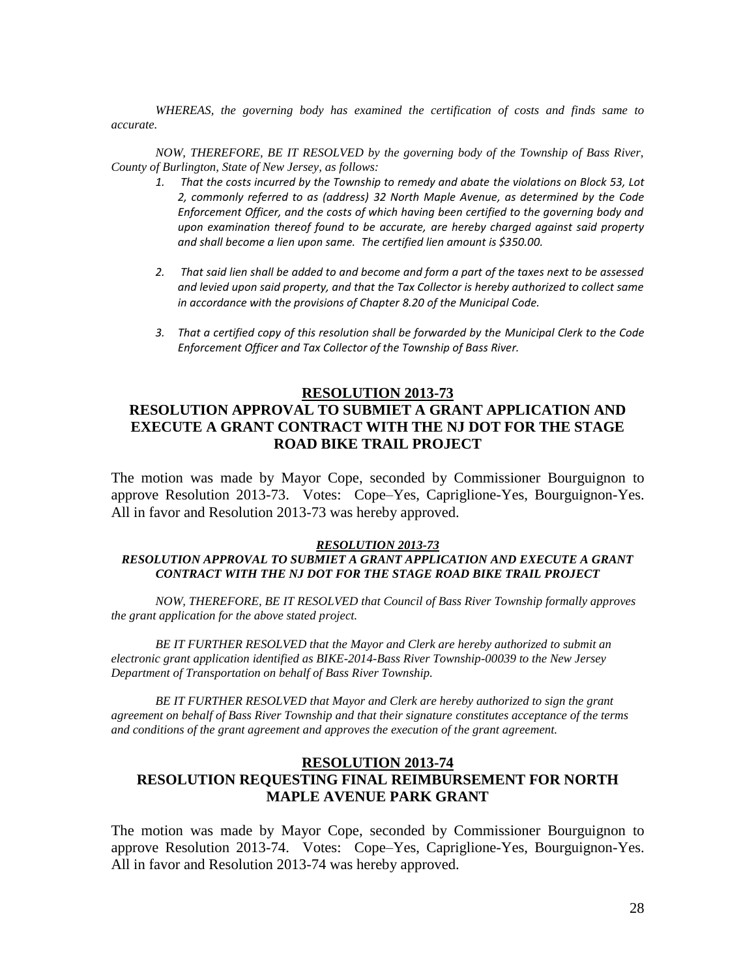*WHEREAS, the governing body has examined the certification of costs and finds same to accurate.*

*NOW, THEREFORE, BE IT RESOLVED by the governing body of the Township of Bass River, County of Burlington, State of New Jersey, as follows:*

- *1. That the costs incurred by the Township to remedy and abate the violations on Block 53, Lot 2, commonly referred to as (address) 32 North Maple Avenue, as determined by the Code Enforcement Officer, and the costs of which having been certified to the governing body and upon examination thereof found to be accurate, are hereby charged against said property and shall become a lien upon same. The certified lien amount is \$350.00.*
- *2. That said lien shall be added to and become and form a part of the taxes next to be assessed and levied upon said property, and that the Tax Collector is hereby authorized to collect same in accordance with the provisions of Chapter 8.20 of the Municipal Code.*
- *3. That a certified copy of this resolution shall be forwarded by the Municipal Clerk to the Code Enforcement Officer and Tax Collector of the Township of Bass River.*

## **RESOLUTION 2013-73**

# **RESOLUTION APPROVAL TO SUBMIET A GRANT APPLICATION AND EXECUTE A GRANT CONTRACT WITH THE NJ DOT FOR THE STAGE ROAD BIKE TRAIL PROJECT**

The motion was made by Mayor Cope, seconded by Commissioner Bourguignon to approve Resolution 2013-73. Votes: Cope–Yes, Capriglione-Yes, Bourguignon-Yes. All in favor and Resolution 2013-73 was hereby approved.

#### *RESOLUTION 2013-73*

### *RESOLUTION APPROVAL TO SUBMIET A GRANT APPLICATION AND EXECUTE A GRANT CONTRACT WITH THE NJ DOT FOR THE STAGE ROAD BIKE TRAIL PROJECT*

*NOW, THEREFORE, BE IT RESOLVED that Council of Bass River Township formally approves the grant application for the above stated project.*

*BE IT FURTHER RESOLVED that the Mayor and Clerk are hereby authorized to submit an electronic grant application identified as BIKE-2014-Bass River Township-00039 to the New Jersey Department of Transportation on behalf of Bass River Township.*

*BE IT FURTHER RESOLVED that Mayor and Clerk are hereby authorized to sign the grant agreement on behalf of Bass River Township and that their signature constitutes acceptance of the terms and conditions of the grant agreement and approves the execution of the grant agreement.*

## **RESOLUTION 2013-74 RESOLUTION REQUESTING FINAL REIMBURSEMENT FOR NORTH MAPLE AVENUE PARK GRANT**

The motion was made by Mayor Cope, seconded by Commissioner Bourguignon to approve Resolution 2013-74. Votes: Cope–Yes, Capriglione-Yes, Bourguignon-Yes. All in favor and Resolution 2013-74 was hereby approved.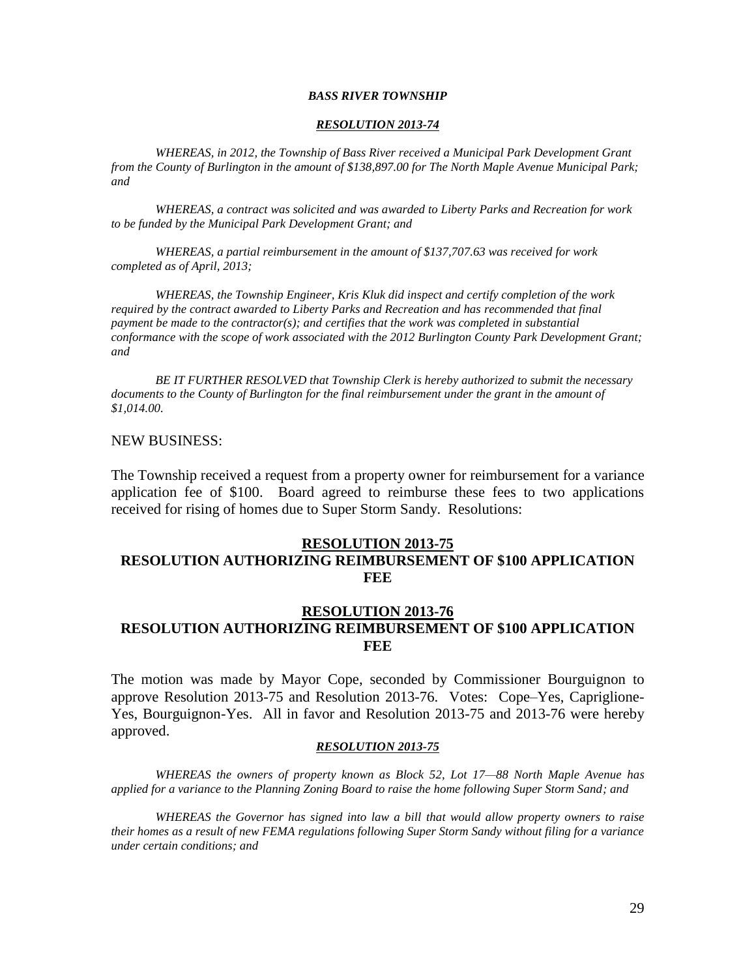### *BASS RIVER TOWNSHIP*

### *RESOLUTION 2013-74*

*WHEREAS, in 2012, the Township of Bass River received a Municipal Park Development Grant from the County of Burlington in the amount of \$138,897.00 for The North Maple Avenue Municipal Park; and*

*WHEREAS, a contract was solicited and was awarded to Liberty Parks and Recreation for work to be funded by the Municipal Park Development Grant; and*

*WHEREAS, a partial reimbursement in the amount of \$137,707.63 was received for work completed as of April, 2013;*

*WHEREAS, the Township Engineer, Kris Kluk did inspect and certify completion of the work required by the contract awarded to Liberty Parks and Recreation and has recommended that final payment be made to the contractor(s); and certifies that the work was completed in substantial conformance with the scope of work associated with the 2012 Burlington County Park Development Grant; and*

*BE IT FURTHER RESOLVED that Township Clerk is hereby authorized to submit the necessary documents to the County of Burlington for the final reimbursement under the grant in the amount of \$1,014.00.*

### NEW BUSINESS:

The Township received a request from a property owner for reimbursement for a variance application fee of \$100. Board agreed to reimburse these fees to two applications received for rising of homes due to Super Storm Sandy. Resolutions:

### **RESOLUTION 2013-75**

# **RESOLUTION AUTHORIZING REIMBURSEMENT OF \$100 APPLICATION FEE**

# **RESOLUTION 2013-76 RESOLUTION AUTHORIZING REIMBURSEMENT OF \$100 APPLICATION FEE**

The motion was made by Mayor Cope, seconded by Commissioner Bourguignon to approve Resolution 2013-75 and Resolution 2013-76. Votes: Cope–Yes, Capriglione-Yes, Bourguignon-Yes. All in favor and Resolution 2013-75 and 2013-76 were hereby approved.

#### *RESOLUTION 2013-75*

*WHEREAS the owners of property known as Block 52, Lot 17—88 North Maple Avenue has applied for a variance to the Planning Zoning Board to raise the home following Super Storm Sand; and*

*WHEREAS the Governor has signed into law a bill that would allow property owners to raise their homes as a result of new FEMA regulations following Super Storm Sandy without filing for a variance under certain conditions; and*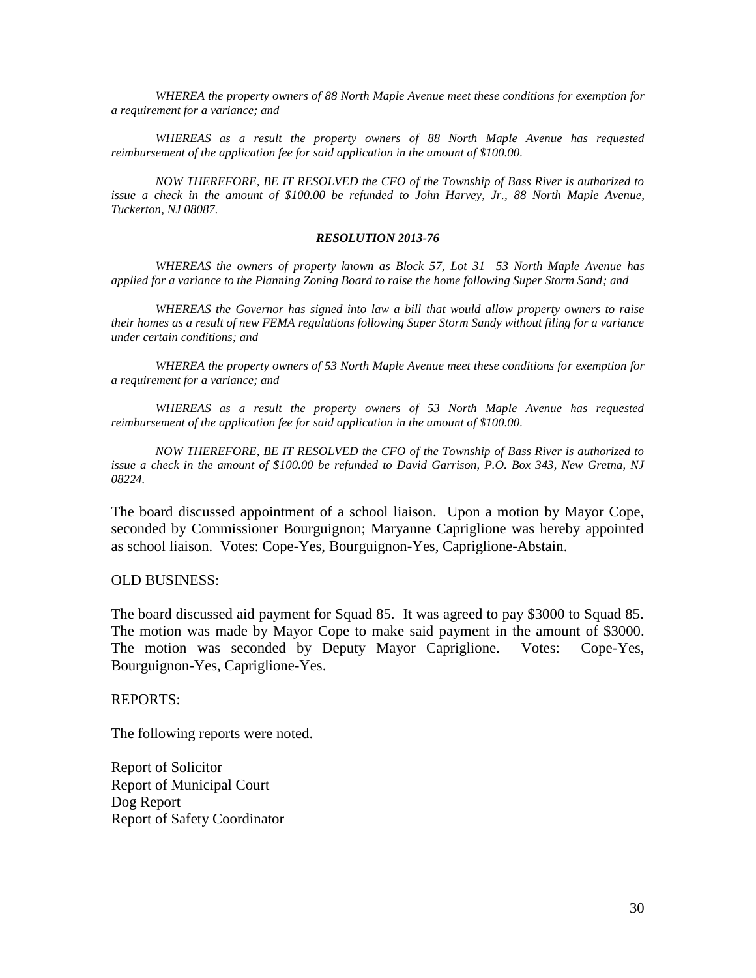*WHEREA the property owners of 88 North Maple Avenue meet these conditions for exemption for a requirement for a variance; and*

*WHEREAS as a result the property owners of 88 North Maple Avenue has requested reimbursement of the application fee for said application in the amount of \$100.00.*

*NOW THEREFORE, BE IT RESOLVED the CFO of the Township of Bass River is authorized to issue a check in the amount of \$100.00 be refunded to John Harvey, Jr., 88 North Maple Avenue, Tuckerton, NJ 08087.*

#### *RESOLUTION 2013-76*

*WHEREAS the owners of property known as Block 57, Lot 31—53 North Maple Avenue has applied for a variance to the Planning Zoning Board to raise the home following Super Storm Sand; and*

*WHEREAS the Governor has signed into law a bill that would allow property owners to raise their homes as a result of new FEMA regulations following Super Storm Sandy without filing for a variance under certain conditions; and*

*WHEREA the property owners of 53 North Maple Avenue meet these conditions for exemption for a requirement for a variance; and*

*WHEREAS as a result the property owners of 53 North Maple Avenue has requested reimbursement of the application fee for said application in the amount of \$100.00.*

*NOW THEREFORE, BE IT RESOLVED the CFO of the Township of Bass River is authorized to issue a check in the amount of \$100.00 be refunded to David Garrison, P.O. Box 343, New Gretna, NJ 08224.*

The board discussed appointment of a school liaison. Upon a motion by Mayor Cope, seconded by Commissioner Bourguignon; Maryanne Capriglione was hereby appointed as school liaison. Votes: Cope-Yes, Bourguignon-Yes, Capriglione-Abstain.

#### OLD BUSINESS:

The board discussed aid payment for Squad 85. It was agreed to pay \$3000 to Squad 85. The motion was made by Mayor Cope to make said payment in the amount of \$3000. The motion was seconded by Deputy Mayor Capriglione. Votes: Cope-Yes, Bourguignon-Yes, Capriglione-Yes.

REPORTS:

The following reports were noted.

Report of Solicitor Report of Municipal Court Dog Report Report of Safety Coordinator